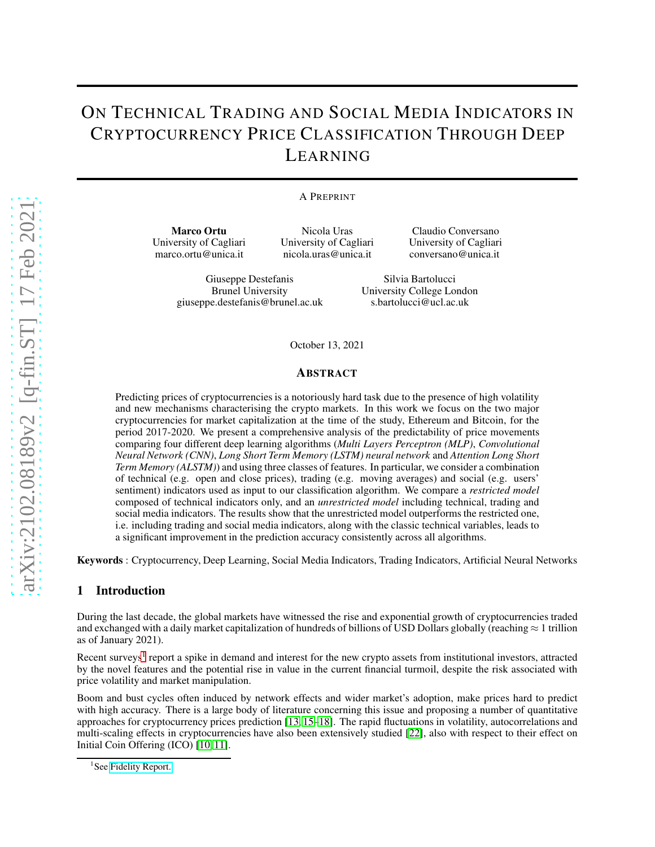# ON TECHNICAL TRADING AND SOCIAL MEDIA INDICATORS IN CRYPTOCURRENCY PRICE CLASSIFICATION THROUGH DEEP LEARNING

#### A PREPRINT

Marco Ortu University of Cagliari marco.ortu@unica.it

Nicola Uras University of Cagliari nicola.uras@unica.it

Claudio Conversano University of Cagliari conversano@unica.it

Giuseppe Destefanis Brunel University giuseppe.destefanis@brunel.ac.uk

Silvia Bartolucci University College London s.bartolucci@ucl.ac.uk

October 13, 2021

#### ABSTRACT

Predicting prices of cryptocurrencies is a notoriously hard task due to the presence of high volatility and new mechanisms characterising the crypto markets. In this work we focus on the two major cryptocurrencies for market capitalization at the time of the study, Ethereum and Bitcoin, for the period 2017-2020. We present a comprehensive analysis of the predictability of price movements comparing four different deep learning algorithms (*Multi Layers Perceptron (MLP)*, *Convolutional Neural Network (CNN)*, *Long Short Term Memory (LSTM) neural network* and *Attention Long Short Term Memory (ALSTM)*) and using three classes of features. In particular, we consider a combination of technical (e.g. open and close prices), trading (e.g. moving averages) and social (e.g. users' sentiment) indicators used as input to our classification algorithm. We compare a *restricted model* composed of technical indicators only, and an *unrestricted model* including technical, trading and social media indicators. The results show that the unrestricted model outperforms the restricted one, i.e. including trading and social media indicators, along with the classic technical variables, leads to a significant improvement in the prediction accuracy consistently across all algorithms.

Keywords : Cryptocurrency, Deep Learning, Social Media Indicators, Trading Indicators, Artificial Neural Networks

#### 1 Introduction

During the last decade, the global markets have witnessed the rise and exponential growth of cryptocurrencies traded and exchanged with a daily market capitalization of hundreds of billions of USD Dollars globally (reaching  $\approx 1$  trillion as of January 2021).

Recent surveys<sup>[1](#page-0-0)</sup> report a spike in demand and interest for the new crypto assets from institutional investors, attracted by the novel features and the potential rise in value in the current financial turmoil, despite the risk associated with price volatility and market manipulation.

Boom and bust cycles often induced by network effects and wider market's adoption, make prices hard to predict with high accuracy. There is a large body of literature concerning this issue and proposing a number of quantitative approaches for cryptocurrency prices prediction [\[13,](#page-29-0) [15](#page-29-1)[–18\]](#page-29-2). The rapid fluctuations in volatility, autocorrelations and multi-scaling effects in cryptocurrencies have also been extensively studied [\[22\]](#page-29-3), also with respect to their effect on Initial Coin Offering (ICO) [\[10,](#page-29-4) [11\]](#page-29-5).

<span id="page-0-0"></span><sup>&</sup>lt;sup>1</sup>See [Fidelity Report.](https://www.fidelitydigitalassets.com/bin-public/060_www_fidelity_com/documents/FDAS/institutional-investors-digital-asset-survey.pdf)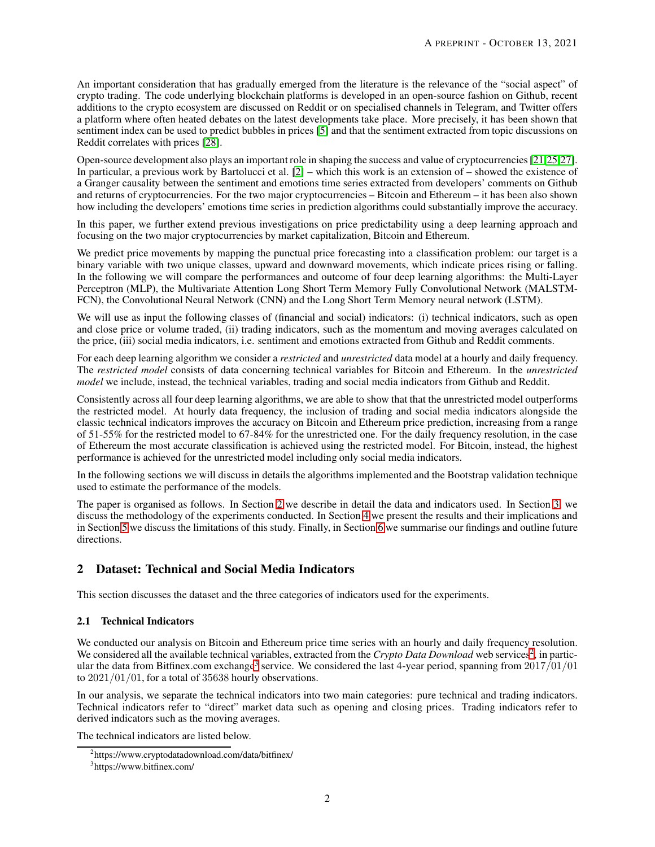An important consideration that has gradually emerged from the literature is the relevance of the "social aspect" of crypto trading. The code underlying blockchain platforms is developed in an open-source fashion on Github, recent additions to the crypto ecosystem are discussed on Reddit or on specialised channels in Telegram, and Twitter offers a platform where often heated debates on the latest developments take place. More precisely, it has been shown that sentiment index can be used to predict bubbles in prices [\[5\]](#page-29-6) and that the sentiment extracted from topic discussions on Reddit correlates with prices [\[28\]](#page-30-0).

Open-source development also plays an important role in shaping the success and value of cryptocurrencies [\[21](#page-29-7)[,25](#page-29-8)[,27\]](#page-30-1). In particular, a previous work by Bartolucci et al. [\[2\]](#page-28-0) – which this work is an extension of – showed the existence of a Granger causality between the sentiment and emotions time series extracted from developers' comments on Github and returns of cryptocurrencies. For the two major cryptocurrencies – Bitcoin and Ethereum – it has been also shown how including the developers' emotions time series in prediction algorithms could substantially improve the accuracy.

In this paper, we further extend previous investigations on price predictability using a deep learning approach and focusing on the two major cryptocurrencies by market capitalization, Bitcoin and Ethereum.

We predict price movements by mapping the punctual price forecasting into a classification problem: our target is a binary variable with two unique classes, upward and downward movements, which indicate prices rising or falling. In the following we will compare the performances and outcome of four deep learning algorithms: the Multi-Layer Perceptron (MLP), the Multivariate Attention Long Short Term Memory Fully Convolutional Network (MALSTM-FCN), the Convolutional Neural Network (CNN) and the Long Short Term Memory neural network (LSTM).

We will use as input the following classes of (financial and social) indicators: (i) technical indicators, such as open and close price or volume traded, (ii) trading indicators, such as the momentum and moving averages calculated on the price, (iii) social media indicators, i.e. sentiment and emotions extracted from Github and Reddit comments.

For each deep learning algorithm we consider a *restricted* and *unrestricted* data model at a hourly and daily frequency. The *restricted model* consists of data concerning technical variables for Bitcoin and Ethereum. In the *unrestricted model* we include, instead, the technical variables, trading and social media indicators from Github and Reddit.

Consistently across all four deep learning algorithms, we are able to show that that the unrestricted model outperforms the restricted model. At hourly data frequency, the inclusion of trading and social media indicators alongside the classic technical indicators improves the accuracy on Bitcoin and Ethereum price prediction, increasing from a range of 51-55% for the restricted model to 67-84% for the unrestricted one. For the daily frequency resolution, in the case of Ethereum the most accurate classification is achieved using the restricted model. For Bitcoin, instead, the highest performance is achieved for the unrestricted model including only social media indicators.

In the following sections we will discuss in details the algorithms implemented and the Bootstrap validation technique used to estimate the performance of the models.

The paper is organised as follows. In Section [2](#page-1-0) we describe in detail the data and indicators used. In Section [3,](#page-17-0) we discuss the methodology of the experiments conducted. In Section [4](#page-23-0) we present the results and their implications and in Section [5](#page-25-0) we discuss the limitations of this study. Finally, in Section [6](#page-28-1) we summarise our findings and outline future directions.

# <span id="page-1-0"></span>2 Dataset: Technical and Social Media Indicators

This section discusses the dataset and the three categories of indicators used for the experiments.

## 2.1 Technical Indicators

We conducted our analysis on Bitcoin and Ethereum price time series with an hourly and daily frequency resolution. We considered all the available technical variables, extracted from the *Crypto Data Download* web services<sup>[2](#page-1-1)</sup>, in partic-ular the data from Bitfinex.com exchange<sup>[3](#page-1-2)</sup> service. We considered the last 4-year period, spanning from  $2017/01/01$ to 2021/01/01, for a total of 35638 hourly observations.

In our analysis, we separate the technical indicators into two main categories: pure technical and trading indicators. Technical indicators refer to "direct" market data such as opening and closing prices. Trading indicators refer to derived indicators such as the moving averages.

The technical indicators are listed below.

<sup>&</sup>lt;sup>2</sup>https://www.cryptodatadownload.com/data/bitfinex/

<span id="page-1-2"></span><span id="page-1-1"></span><sup>3</sup> https://www.bitfinex.com/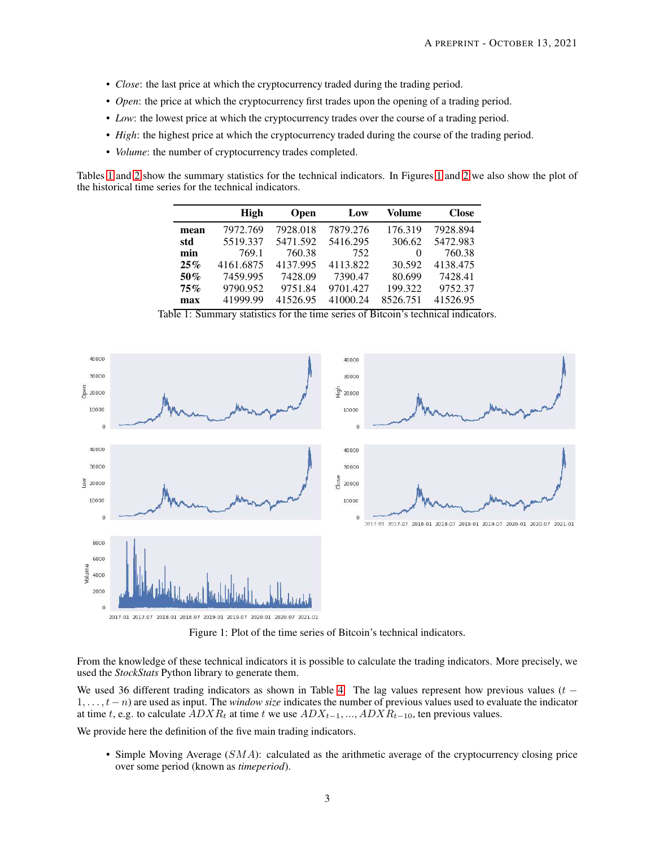- *Close*: the last price at which the cryptocurrency traded during the trading period.
- *Open*: the price at which the cryptocurrency first trades upon the opening of a trading period.
- *Low*: the lowest price at which the cryptocurrency trades over the course of a trading period.
- *High*: the highest price at which the cryptocurrency traded during the course of the trading period.
- *Volume*: the number of cryptocurrency trades completed.

<span id="page-2-0"></span>Tables [1](#page-2-0) and [2](#page-3-0) show the summary statistics for the technical indicators. In Figures [1](#page-2-1) and [2](#page-3-1) we also show the plot of the historical time series for the technical indicators.

|        | High      | Open     | Low      | Volume   | <b>Close</b> |
|--------|-----------|----------|----------|----------|--------------|
| mean   | 7972.769  | 7928.018 | 7879.276 | 176.319  | 7928.894     |
| std    | 5519.337  | 5471.592 | 5416.295 | 306.62   | 5472.983     |
| min    | 769.1     | 760.38   | 752      | $\Omega$ | 760.38       |
| 25%    | 4161.6875 | 4137.995 | 4113.822 | 30.592   | 4138.475     |
| $50\%$ | 7459.995  | 7428.09  | 7390.47  | 80.699   | 7428.41      |
| 75%    | 9790.952  | 9751.84  | 9701.427 | 199.322  | 9752.37      |
| max    | 41999.99  | 41526.95 | 41000.24 | 8526.751 | 41526.95     |

Table 1: Summary statistics for the time series of Bitcoin's technical indicators.

<span id="page-2-1"></span>

Figure 1: Plot of the time series of Bitcoin's technical indicators.

From the knowledge of these technical indicators it is possible to calculate the trading indicators. More precisely, we used the *StockStats* Python library to generate them.

We used 36 different trading indicators as shown in Table [4.](#page-4-0) The lag values represent how previous values ( $t -$ 1, . . . , t − n) are used as input. The *window size* indicates the number of previous values used to evaluate the indicator at time t, e.g. to calculate  $ADXR_t$  at time t we use  $ADX_{t-1}, ..., ADXR_{t-10}$ , ten previous values.

We provide here the definition of the five main trading indicators.

• Simple Moving Average  $(SMA)$ : calculated as the arithmetic average of the cryptocurrency closing price over some period (known as *timeperiod*).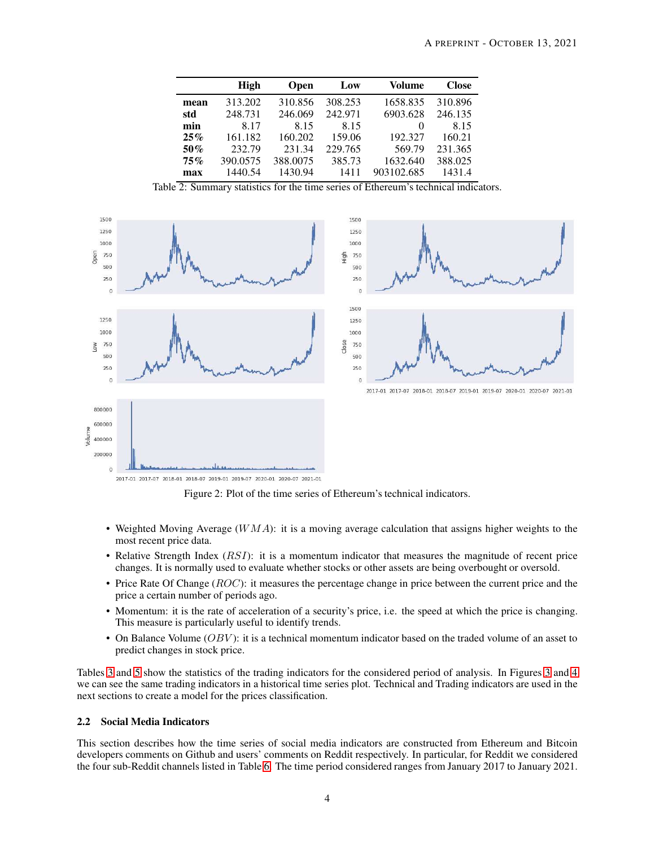<span id="page-3-0"></span>

|        | High     | <b>Open</b> | Low     | Volume     | <b>Close</b> |
|--------|----------|-------------|---------|------------|--------------|
| mean   | 313.202  | 310.856     | 308.253 | 1658.835   | 310.896      |
| std    | 248.731  | 246.069     | 242.971 | 6903.628   | 246.135      |
| min    | 8.17     | 8.15        | 8.15    | $\theta$   | 8.15         |
| 25%    | 161.182  | 160.202     | 159.06  | 192.327    | 160.21       |
| $50\%$ | 232.79   | 231.34      | 229.765 | 569.79     | 231.365      |
| 75%    | 390.0575 | 388,0075    | 385.73  | 1632.640   | 388.025      |
| max    | 1440.54  | 1430.94     | 1411    | 903102.685 | 1431.4       |

Table 2: Summary statistics for the time series of Ethereum's technical indicators.

<span id="page-3-1"></span>

Figure 2: Plot of the time series of Ethereum's technical indicators.

- Weighted Moving Average  $(WMA)$ : it is a moving average calculation that assigns higher weights to the most recent price data.
- Relative Strength Index (*RSI*): it is a momentum indicator that measures the magnitude of recent price changes. It is normally used to evaluate whether stocks or other assets are being overbought or oversold.
- Price Rate Of Change  $(ROC)$ : it measures the percentage change in price between the current price and the price a certain number of periods ago.
- Momentum: it is the rate of acceleration of a security's price, i.e. the speed at which the price is changing. This measure is particularly useful to identify trends.
- On Balance Volume  $(OBV)$ : it is a technical momentum indicator based on the traded volume of an asset to predict changes in stock price.

Tables [3](#page-4-1) and [5](#page-5-0) show the statistics of the trading indicators for the considered period of analysis. In Figures [3](#page-5-1) and [4](#page-6-0) we can see the same trading indicators in a historical time series plot. Technical and Trading indicators are used in the next sections to create a model for the prices classification.

#### 2.2 Social Media Indicators

This section describes how the time series of social media indicators are constructed from Ethereum and Bitcoin developers comments on Github and users' comments on Reddit respectively. In particular, for Reddit we considered the four sub-Reddit channels listed in Table [6.](#page-5-2) The time period considered ranges from January 2017 to January 2021.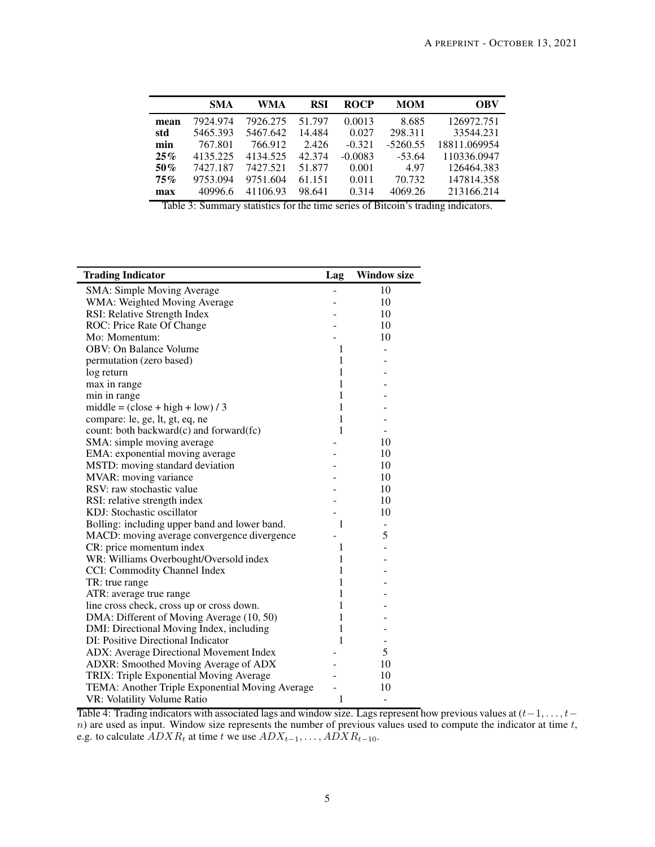|        | <b>SMA</b> | WMA      | RSI    | <b>ROCP</b> | <b>MOM</b> | OBV          |
|--------|------------|----------|--------|-------------|------------|--------------|
| mean   | 7924.974   | 7926.275 | 51.797 | 0.0013      | 8.685      | 126972.751   |
| std    | 5465.393   | 5467.642 | 14.484 | 0.027       | 298.311    | 33544.231    |
| min    | 767.801    | 766.912  | 2.426  | $-0.321$    | $-5260.55$ | 18811.069954 |
| $25\%$ | 4135.225   | 4134.525 | 42.374 | $-0.0083$   | $-53.64$   | 110336.0947  |
| $50\%$ | 7427.187   | 7427.521 | 51.877 | 0.001       | 4.97       | 126464.383   |
| $75\%$ | 9753.094   | 9751.604 | 61.151 | 0.011       | 70.732     | 147814.358   |
| max    | 40996.6    | 41106.93 | 98.641 | 0.314       | 4069.26    | 213166.214   |

Table 3: Summary statistics for the time series of Bitcoin's trading indicators.

<span id="page-4-0"></span>

| <b>Trading Indicator</b>                        | Lag          | <b>Window size</b> |
|-------------------------------------------------|--------------|--------------------|
| SMA: Simple Moving Average                      |              | 10                 |
| WMA: Weighted Moving Average                    |              | 10                 |
| RSI: Relative Strength Index                    |              | 10                 |
| ROC: Price Rate Of Change                       |              | 10                 |
| Mo: Momentum:                                   |              | 10                 |
| <b>OBV: On Balance Volume</b>                   | 1            |                    |
| permutation (zero based)                        | 1            |                    |
| log return                                      | 1            |                    |
| max in range                                    | 1            |                    |
| min in range                                    | 1            |                    |
| $middle = (close + high + low) / 3$             | 1            |                    |
| compare: le, ge, lt, gt, eq, ne                 | 1            |                    |
| count: both backward(c) and forward(fc)         | 1            |                    |
| SMA: simple moving average                      |              | 10                 |
| EMA: exponential moving average                 |              | 10                 |
| MSTD: moving standard deviation                 |              | 10                 |
| MVAR: moving variance                           |              | 10                 |
| RSV: raw stochastic value                       |              | 10                 |
| RSI: relative strength index                    |              | 10                 |
| KDJ: Stochastic oscillator                      |              | 10                 |
| Bolling: including upper band and lower band.   | 1            |                    |
| MACD: moving average convergence divergence     |              | 5                  |
| CR: price momentum index                        | 1            |                    |
| WR: Williams Overbought/Oversold index          | 1            |                    |
| CCI: Commodity Channel Index                    | 1            |                    |
| TR: true range                                  | 1            |                    |
| ATR: average true range                         | 1            |                    |
| line cross check, cross up or cross down.       | $\mathbf{1}$ |                    |
| DMA: Different of Moving Average (10, 50)       | 1            |                    |
| DMI: Directional Moving Index, including        | 1            |                    |
| DI: Positive Directional Indicator              | 1            | ÷,                 |
| ADX: Average Directional Movement Index         |              | 5                  |
| ADXR: Smoothed Moving Average of ADX            |              | 10                 |
| TRIX: Triple Exponential Moving Average         |              | 10                 |
| TEMA: Another Triple Exponential Moving Average |              | 10                 |
| VR: Volatility Volume Ratio                     | $\mathbf{1}$ | -                  |

<span id="page-4-1"></span> $\overline{\phantom{0}}$ 

Table 4: Trading indicators with associated lags and window size. Lags represent how previous values at  $(t-1,\ldots,t-1)$ n) are used as input. Window size represents the number of previous values used to compute the indicator at time  $t$ , e.g. to calculate  $ADXR_t$  at time t we use  $ADX_{t-1}, \ldots, ADXR_{t-10}$ .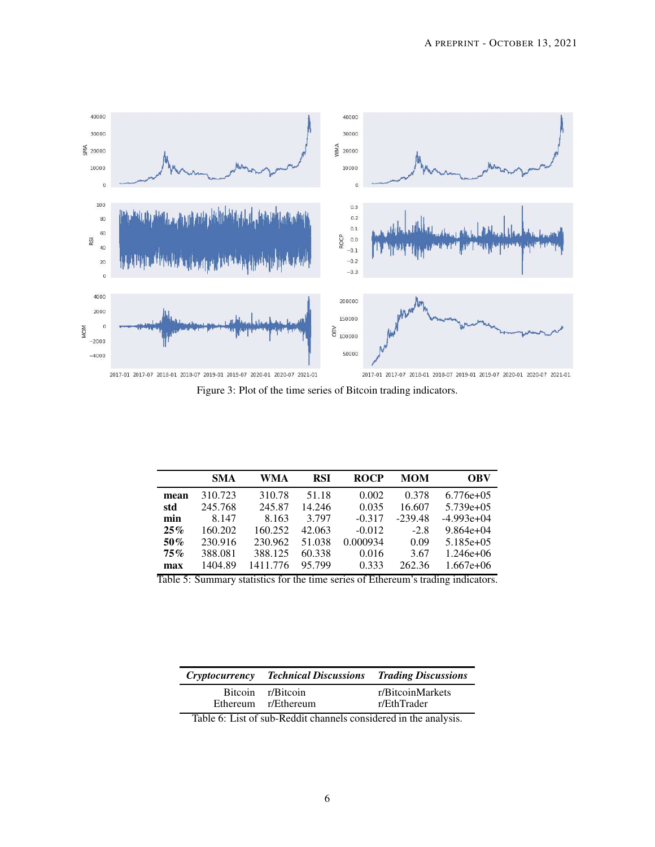<span id="page-5-1"></span>

Figure 3: Plot of the time series of Bitcoin trading indicators.

<span id="page-5-0"></span>

|              | <b>SMA</b> | WMA      | <b>RSI</b> | <b>ROCP</b>                    | <b>MOM</b>                                          | <b>OBV</b>   |
|--------------|------------|----------|------------|--------------------------------|-----------------------------------------------------|--------------|
| mean         | 310.723    | 310.78   | 51.18      | 0.002                          | 0.378                                               | $6.776e+0.5$ |
| std          | 245.768    | 245.87   | 14.246     | 0.035                          | 16.607                                              | $5.739e+05$  |
| min          | 8.147      | 8.163    | 3.797      | $-0.317$                       | $-239.48$                                           | $-4.993e+04$ |
| $25\%$       | 160.202    | 160.252  | 42.063     | $-0.012$                       | $-2.8$                                              | $9.864e+04$  |
| 50%          | 230.916    | 230.962  | 51.038     | 0.000934                       | 0.09                                                | $5.185e+05$  |
| $75\%$       | 388.081    | 388.125  | 60.338     | 0.016                          | 3.67                                                | $1.246e+06$  |
| max<br>T11ZQ | 1404.89    | 1411.776 | 95.799     | 0.333<br>$C_{\rm T}$ $\sim$ 1. | 262.36<br>$\sim$ $\sim$ $\sim$ $\sim$ $\sim$ $\sim$ | $1.667e+06$  |

Table 5: Summary statistics for the time series of Ethereum's trading indicators.

<span id="page-5-2"></span>

| <i>Cryptocurrency</i> | <b>Technical Discussions</b>             | <b>Trading Discussions</b>      |
|-----------------------|------------------------------------------|---------------------------------|
|                       | Bitcoin r/Bitcoin<br>Ethereum r/Ethereum | r/BitcoinMarkets<br>r/EthTrader |
| $\sim$                |                                          |                                 |

Table 6: List of sub-Reddit channels considered in the analysis.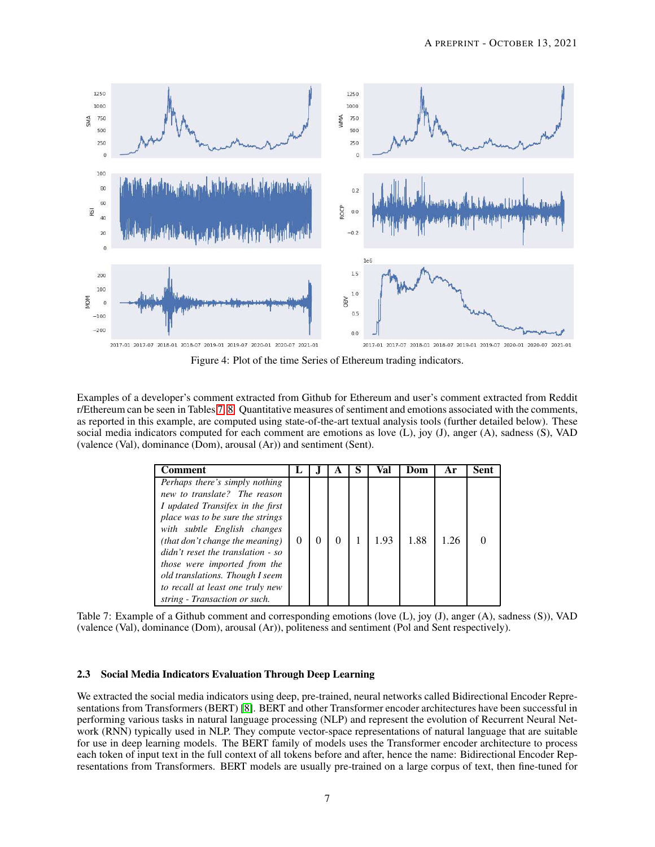<span id="page-6-0"></span>

Figure 4: Plot of the time Series of Ethereum trading indicators.

<span id="page-6-1"></span>Examples of a developer's comment extracted from Github for Ethereum and user's comment extracted from Reddit r/Ethereum can be seen in Tables [7,](#page-6-1) [8.](#page-7-0) Quantitative measures of sentiment and emotions associated with the comments, as reported in this example, are computed using state-of-the-art textual analysis tools (further detailed below). These social media indicators computed for each comment are emotions as love (L), joy (J), anger (A), sadness (S), VAD (valence (Val), dominance (Dom), arousal (Ar)) and sentiment (Sent).

| Comment )                                                                                                                                                                                                                                                                                                                                                                             |          |  | Val  | Dom  | Ar   | Sent |
|---------------------------------------------------------------------------------------------------------------------------------------------------------------------------------------------------------------------------------------------------------------------------------------------------------------------------------------------------------------------------------------|----------|--|------|------|------|------|
| Perhaps there's simply nothing<br>new to translate? The reason<br>I updated Transifex in the first<br>place was to be sure the strings<br>with subtle English changes<br>(that don't change the meaning)<br>didn't reset the translation - so<br>those were imported from the<br>old translations. Though I seem<br>to recall at least one truly new<br>string - Transaction or such. | $\theta$ |  | 1.93 | 1.88 | 1.26 |      |

Table 7: Example of a Github comment and corresponding emotions (love (L), joy (J), anger (A), sadness (S)), VAD (valence (Val), dominance (Dom), arousal (Ar)), politeness and sentiment (Pol and Sent respectively).

#### <span id="page-6-2"></span>2.3 Social Media Indicators Evaluation Through Deep Learning

We extracted the social media indicators using deep, pre-trained, neural networks called Bidirectional Encoder Representations from Transformers (BERT) [\[8\]](#page-29-9). BERT and other Transformer encoder architectures have been successful in performing various tasks in natural language processing (NLP) and represent the evolution of Recurrent Neural Network (RNN) typically used in NLP. They compute vector-space representations of natural language that are suitable for use in deep learning models. The BERT family of models uses the Transformer encoder architecture to process each token of input text in the full context of all tokens before and after, hence the name: Bidirectional Encoder Representations from Transformers. BERT models are usually pre-trained on a large corpus of text, then fine-tuned for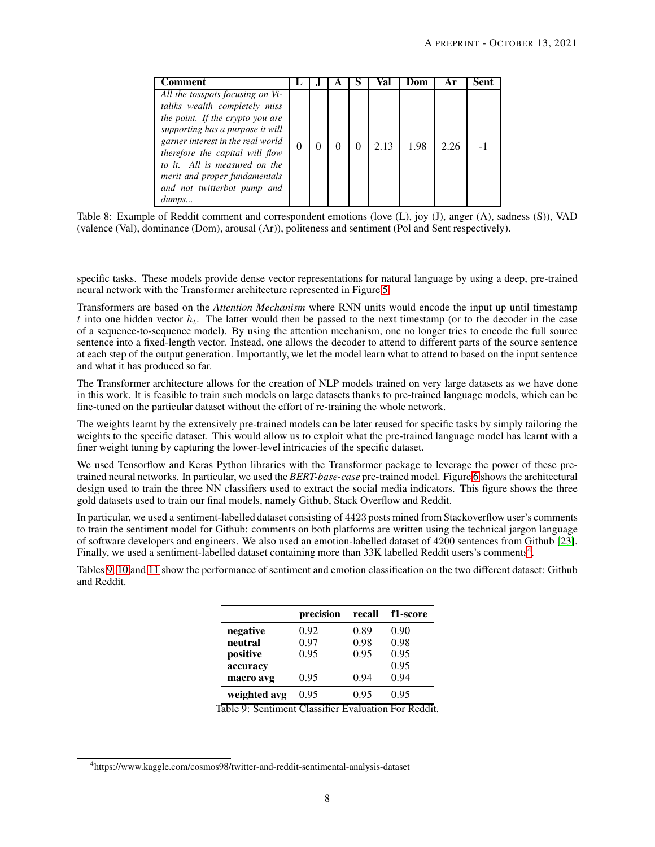<span id="page-7-0"></span>

| `omment                                                                                                                                                                                                                                                                                                                     |   |  |   | Val  | Dom  | Αr   | Sent |
|-----------------------------------------------------------------------------------------------------------------------------------------------------------------------------------------------------------------------------------------------------------------------------------------------------------------------------|---|--|---|------|------|------|------|
| All the tosspots focusing on Vi-<br>taliks wealth completely miss<br>the point. If the crypto you are<br>supporting has a purpose it will<br>garner interest in the real world<br>therefore the capital will flow<br>to it. All is measured on the<br>merit and proper fundamentals<br>and not twitterbot pump and<br>dumps | 0 |  | 0 | 2.13 | 1.98 | 2.26 |      |

Table 8: Example of Reddit comment and correspondent emotions (love (L), joy (J), anger (A), sadness (S)), VAD (valence (Val), dominance (Dom), arousal (Ar)), politeness and sentiment (Pol and Sent respectively).

specific tasks. These models provide dense vector representations for natural language by using a deep, pre-trained neural network with the Transformer architecture represented in Figure [5.](#page-8-0)

Transformers are based on the *Attention Mechanism* where RNN units would encode the input up until timestamp t into one hidden vector  $h_t$ . The latter would then be passed to the next timestamp (or to the decoder in the case of a sequence-to-sequence model). By using the attention mechanism, one no longer tries to encode the full source sentence into a fixed-length vector. Instead, one allows the decoder to attend to different parts of the source sentence at each step of the output generation. Importantly, we let the model learn what to attend to based on the input sentence and what it has produced so far.

The Transformer architecture allows for the creation of NLP models trained on very large datasets as we have done in this work. It is feasible to train such models on large datasets thanks to pre-trained language models, which can be fine-tuned on the particular dataset without the effort of re-training the whole network.

The weights learnt by the extensively pre-trained models can be later reused for specific tasks by simply tailoring the weights to the specific dataset. This would allow us to exploit what the pre-trained language model has learnt with a finer weight tuning by capturing the lower-level intricacies of the specific dataset.

We used Tensorflow and Keras Python libraries with the Transformer package to leverage the power of these pretrained neural networks. In particular, we used the *BERT-base-case* pre-trained model. Figure [6](#page-9-0) shows the architectural design used to train the three NN classifiers used to extract the social media indicators. This figure shows the three gold datasets used to train our final models, namely Github, Stack Overflow and Reddit.

In particular, we used a sentiment-labelled dataset consisting of 4423 posts mined from Stackoverflow user's comments to train the sentiment model for Github: comments on both platforms are written using the technical jargon language of software developers and engineers. We also used an emotion-labelled dataset of 4200 sentences from Github [\[23\]](#page-29-10). Finally, we used a sentiment-labelled dataset containing more than 33K labelled Reddit users's comments<sup>[4](#page-7-1)</sup>.

<span id="page-7-2"></span>Tables [9,](#page-7-2) [10](#page-8-1) and [11](#page-9-1) show the performance of sentiment and emotion classification on the two different dataset: Github and Reddit.

|              | precision | recall | f1-score |
|--------------|-----------|--------|----------|
| negative     | 0.92      | 0.89   | 0.90     |
| neutral      | 0.97      | 0.98   | 0.98     |
| positive     | 0.95      | 0.95   | 0.95     |
| accuracy     |           |        | 0.95     |
| macro avg    | 0.95      | 0.94   | 0.94     |
| weighted avg | 0.95      | 0.95   | 0.95     |

Table 9: Sentiment Classifier Evaluation For Reddit.

<span id="page-7-1"></span><sup>4</sup> https://www.kaggle.com/cosmos98/twitter-and-reddit-sentimental-analysis-dataset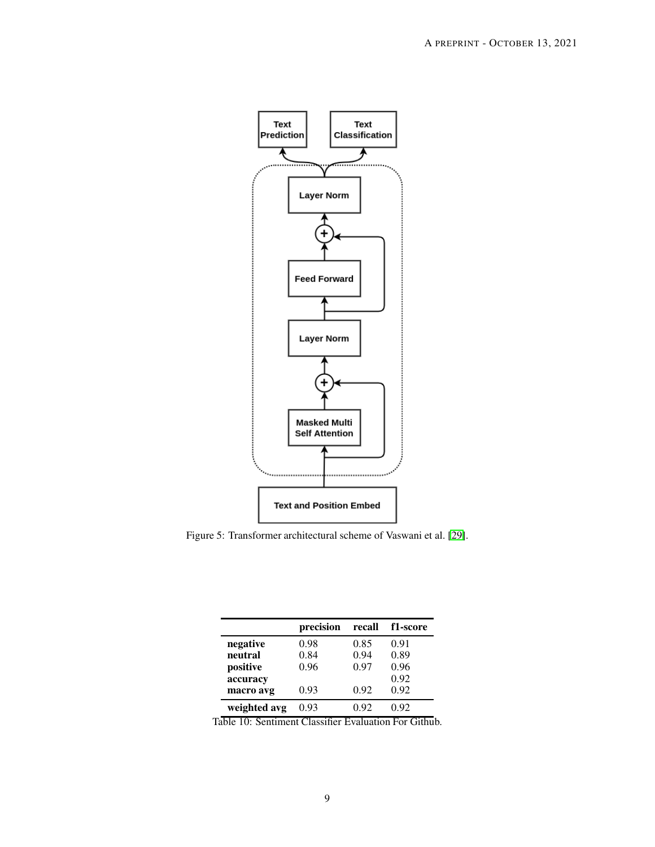<span id="page-8-0"></span>

<span id="page-8-1"></span>Figure 5: Transformer architectural scheme of Vaswani et al. [\[29\]](#page-30-2).

|              | precision | recall | f1-score |
|--------------|-----------|--------|----------|
| negative     | 0.98      | 0.85   | 0.91     |
| neutral      | 0.84      | 0.94   | 0.89     |
| positive     | 0.96      | 0.97   | 0.96     |
| accuracy     |           |        | 0.92     |
| macro avg    | 0.93      | 0.92   | 0.92     |
| weighted avg | 0.93      | 0.92   | 0.92     |

Table 10: Sentiment Classifier Evaluation For Github.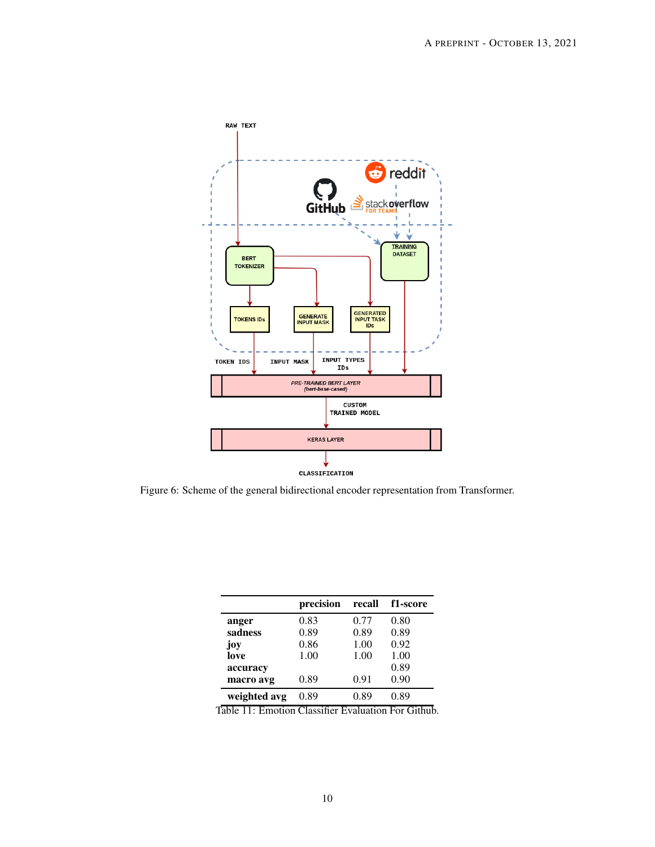<span id="page-9-0"></span>

<span id="page-9-1"></span>Figure 6: Scheme of the general bidirectional encoder representation from Transformer.

|              | precision | recall | f1-score |
|--------------|-----------|--------|----------|
| anger        | 0.83      | 0.77   | 0.80     |
| sadness      | 0.89      | 0.89   | 0.89     |
| joy          | 0.86      | 1.00   | 0.92     |
| love         | 1.00      | 1.00   | 1.00     |
| accuracy     |           |        | 0.89     |
| macro avg    | 0.89      | 0.91   | 0.90     |
| weighted avg | 0.89      | 0.89   | 0.89     |

Table 11: Emotion Classifier Evaluation For Github.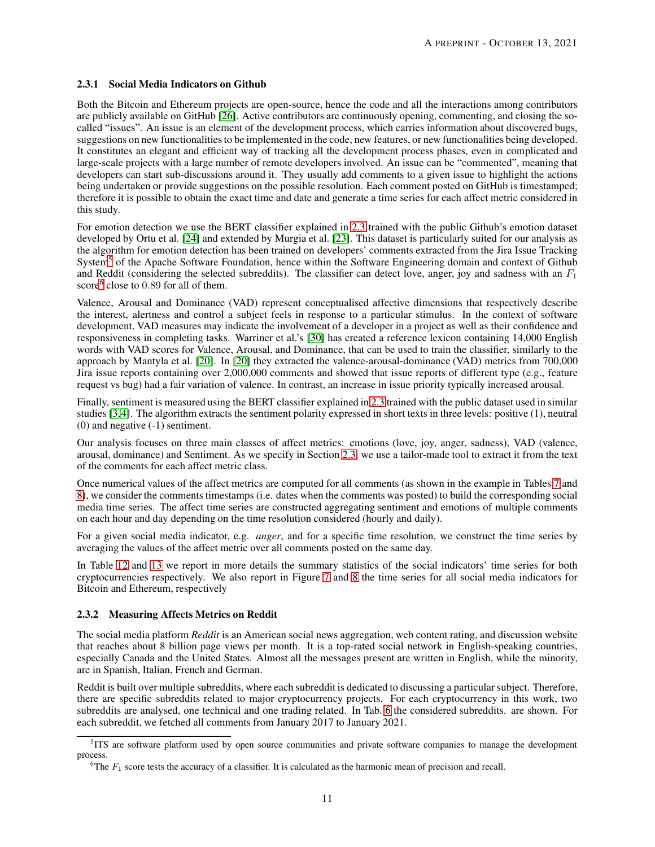#### <span id="page-10-2"></span>2.3.1 Social Media Indicators on Github

Both the Bitcoin and Ethereum projects are open-source, hence the code and all the interactions among contributors are publicly available on GitHub [\[26\]](#page-30-3). Active contributors are continuously opening, commenting, and closing the socalled "issues". An issue is an element of the development process, which carries information about discovered bugs, suggestions on new functionalities to be implemented in the code, new features, or new functionalities being developed. It constitutes an elegant and efficient way of tracking all the development process phases, even in complicated and large-scale projects with a large number of remote developers involved. An issue can be "commented", meaning that developers can start sub-discussions around it. They usually add comments to a given issue to highlight the actions being undertaken or provide suggestions on the possible resolution. Each comment posted on GitHub is timestamped; therefore it is possible to obtain the exact time and date and generate a time series for each affect metric considered in this study.

For emotion detection we use the BERT classifier explained in [2.3](#page-6-2) trained with the public Github's emotion dataset developed by Ortu et al. [\[24\]](#page-29-11) and extended by Murgia et al. [\[23\]](#page-29-10). This dataset is particularly suited for our analysis as the algorithm for emotion detection has been trained on developers' comments extracted from the Jira Issue Tracking System<sup>[5](#page-10-0)</sup> of the Apache Software Foundation, hence within the Software Engineering domain and context of Github and Reddit (considering the selected subreddits). The classifier can detect love, anger, joy and sadness with an  $F_1$ score<sup>[6](#page-10-1)</sup> close to 0.89 for all of them.

Valence, Arousal and Dominance (VAD) represent conceptualised affective dimensions that respectively describe the interest, alertness and control a subject feels in response to a particular stimulus. In the context of software development, VAD measures may indicate the involvement of a developer in a project as well as their confidence and responsiveness in completing tasks. Warriner et al.'s [\[30\]](#page-30-4) has created a reference lexicon containing 14,000 English words with VAD scores for Valence, Arousal, and Dominance, that can be used to train the classifier, similarly to the approach by Mantyla et al. [\[20\]](#page-29-12). In [\[20\]](#page-29-12) they extracted the valence-arousal-dominance (VAD) metrics from 700,000 Jira issue reports containing over 2,000,000 comments and showed that issue reports of different type (e.g., feature request vs bug) had a fair variation of valence. In contrast, an increase in issue priority typically increased arousal.

Finally, sentiment is measured using the BERT classifier explained in [2.3](#page-6-2) trained with the public dataset used in similar studies [\[3,](#page-29-13)[4\]](#page-29-14). The algorithm extracts the sentiment polarity expressed in short texts in three levels: positive (1), neutral (0) and negative (-1) sentiment.

Our analysis focuses on three main classes of affect metrics: emotions (love, joy, anger, sadness), VAD (valence, arousal, dominance) and Sentiment. As we specify in Section [2.3,](#page-6-2) we use a tailor-made tool to extract it from the text of the comments for each affect metric class.

Once numerical values of the affect metrics are computed for all comments (as shown in the example in Tables [7](#page-6-1) and [8\)](#page-7-0), we consider the comments timestamps (i.e. dates when the comments was posted) to build the corresponding social media time series. The affect time series are constructed aggregating sentiment and emotions of multiple comments on each hour and day depending on the time resolution considered (hourly and daily).

For a given social media indicator, e.g. *anger*, and for a specific time resolution, we construct the time series by averaging the values of the affect metric over all comments posted on the same day.

In Table [12](#page-11-0) and [13](#page-11-1) we report in more details the summary statistics of the social indicators' time series for both cryptocurrencies respectively. We also report in Figure [7](#page-11-2) and [8](#page-12-0) the time series for all social media indicators for Bitcoin and Ethereum, respectively

## 2.3.2 Measuring Affects Metrics on Reddit

The social media platform *Reddit* is an American social news aggregation, web content rating, and discussion website that reaches about 8 billion page views per month. It is a top-rated social network in English-speaking countries, especially Canada and the United States. Almost all the messages present are written in English, while the minority, are in Spanish, Italian, French and German.

Reddit is built over multiple subreddits, where each subreddit is dedicated to discussing a particular subject. Therefore, there are specific subreddits related to major cryptocurrency projects. For each cryptocurrency in this work, two subreddits are analysed, one technical and one trading related. In Tab. [6](#page-5-2) the considered subreddits. are shown. For each subreddit, we fetched all comments from January 2017 to January 2021.

<sup>5</sup> ITS are software platform used by open source communities and private software companies to manage the development process.

<span id="page-10-1"></span><span id="page-10-0"></span><sup>&</sup>lt;sup>6</sup>The  $F_1$  score tests the accuracy of a classifier. It is calculated as the harmonic mean of precision and recall.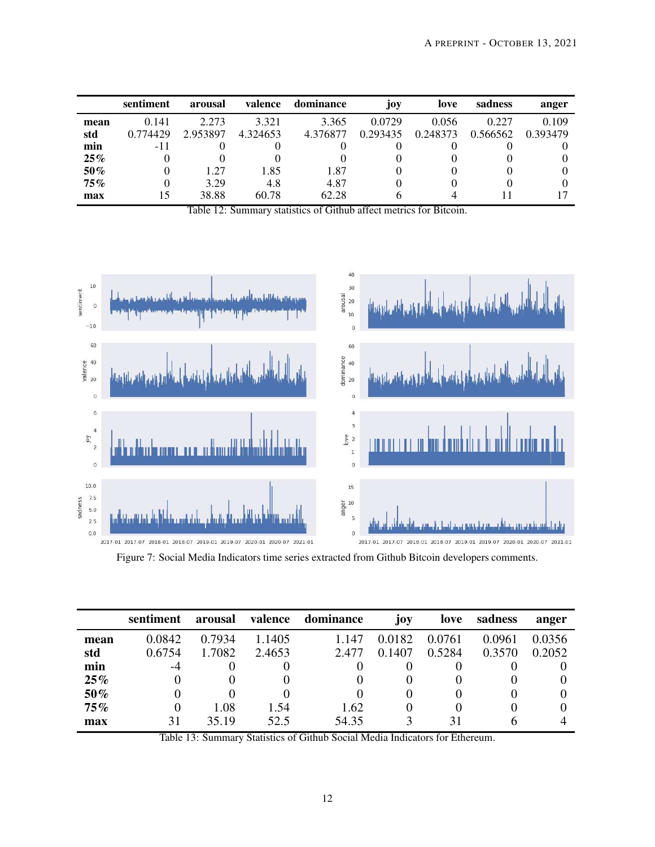<span id="page-11-0"></span>

|        | sentiment | arousal  | valence  | dominance | joy      | love     | sadness  | anger    |
|--------|-----------|----------|----------|-----------|----------|----------|----------|----------|
| mean   | 0.141     | 2.273    | 3.321    | 3.365     | 0.0729   | 0.056    | 0.227    | 0.109    |
| std    | 0.774429  | 2.953897 | 4.324653 | 4.376877  | 0.293435 | 0.248373 | 0.566562 | 0.393479 |
| min    | -11       |          | 0        |           |          |          |          |          |
| $25\%$ |           |          |          |           |          |          |          |          |
| 50%    |           | 1.27     | 1.85     | 1.87      |          |          |          |          |
| $75\%$ |           | 3.29     | 4.8      | 4.87      |          |          |          |          |
| max    | 15        | 38.88    | 60.78    | 62.28     | O        | 4        |          |          |

Table 12: Summary statistics of Github affect metrics for Bitcoin.

<span id="page-11-2"></span>

Figure 7: Social Media Indicators time series extracted from Github Bitcoin developers comments.

<span id="page-11-1"></span>

|      | sentiment | arousal | valence | dominance | joy      | love   | sadness | anger  |
|------|-----------|---------|---------|-----------|----------|--------|---------|--------|
| mean | 0.0842    | 0.7934  | 1.1405  | 1.147     | 0.0182   | 0.0761 | 0.0961  | 0.0356 |
| std  | 0.6754    | 1.7082  | 2.4653  | 2.477     | 0.1407   | 0.5284 | 0.3570  | 0.2052 |
| min  | -4        |         |         | O         |          |        |         |        |
| 25%  |           |         |         | O         | O        |        |         |        |
| 50%  |           |         |         | $\theta$  | $\theta$ |        |         |        |
| 75%  | $\theta$  | 1.08    | 1.54    | 1.62      | 0        |        |         |        |
| max  | 31        | 35.19   | 52.5    | 54.35     |          | 31     | n       |        |

Table 13: Summary Statistics of Github Social Media Indicators for Ethereum.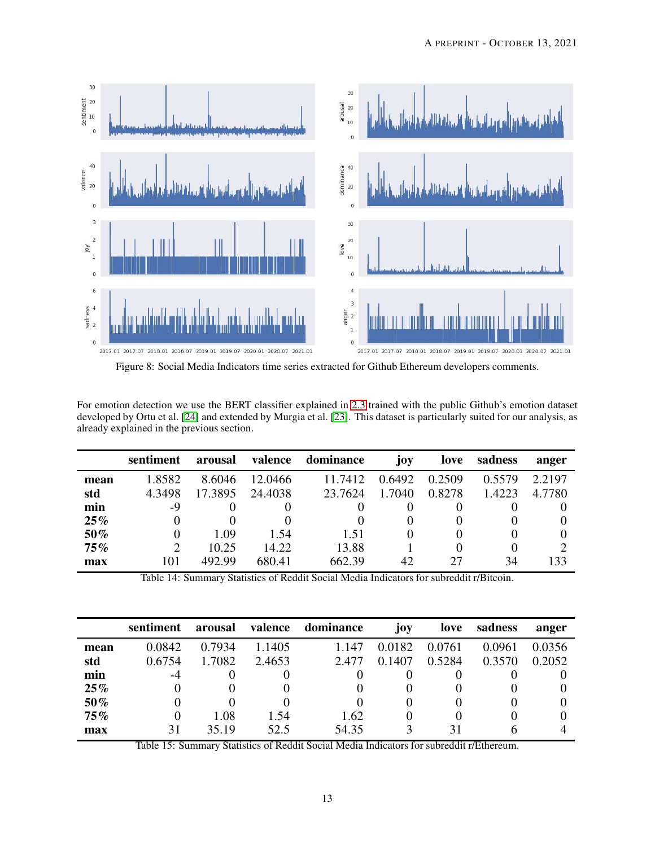<span id="page-12-0"></span>

Figure 8: Social Media Indicators time series extracted for Github Ethereum developers comments.

For emotion detection we use the BERT classifier explained in [2.3](#page-6-2) trained with the public Github's emotion dataset developed by Ortu et al. [\[24\]](#page-29-11) and extended by Murgia et al. [\[23\]](#page-29-10). This dataset is particularly suited for our analysis, as already explained in the previous section.

<span id="page-12-1"></span>

|      | sentiment                   | arousal | valence | dominance | joy      | love   | sadness  | anger  |
|------|-----------------------------|---------|---------|-----------|----------|--------|----------|--------|
| mean | 1.8582                      | 8.6046  | 12.0466 | 11.7412   | 0.6492   | 0.2509 | 0.5579   | 2.2197 |
| std  | 4.3498                      | 17.3895 | 24.4038 | 23.7624   | 1.7040   | 0.8278 | 1.4223   | 4.7780 |
| min  | -9                          |         |         |           | 0        |        |          |        |
| 25%  | 0                           |         |         |           | 0        |        |          |        |
| 50%  | $\theta$                    | 1.09    | 1.54    | 1.51      | $\theta$ |        |          |        |
| 75%  | $\mathcal{D}_{\mathcal{L}}$ | 10.25   | 14.22   | 13.88     |          |        | $\theta$ |        |
| max  | 101                         | 492.99  | 680.41  | 662.39    | 42       | 27     | 34       | 133    |

Table 14: Summary Statistics of Reddit Social Media Indicators for subreddit r/Bitcoin.

<span id="page-12-2"></span>

|      | sentiment | arousal | valence | dominance | joy      | love   | sadness | anger  |
|------|-----------|---------|---------|-----------|----------|--------|---------|--------|
| mean | 0.0842    | 0.7934  | 1.1405  | 1.147     | 0.0182   | 0.0761 | 0.0961  | 0.0356 |
| std  | 0.6754    | 1.7082  | 2.4653  | 2.477     | 0.1407   | 0.5284 | 0.3570  | 0.2052 |
| min  | -4        |         |         | 0         |          |        |         |        |
| 25%  |           |         |         | 0         |          |        |         |        |
| 50%  | 0         |         |         | 0         | $\theta$ |        |         |        |
| 75%  | $\theta$  | 1.08    | 1.54    | 1.62      | $\theta$ |        |         |        |
| max  | 31        | 35.19   | 52.5    | 54.35     | 3        | 31     | h       |        |

Table 15: Summary Statistics of Reddit Social Media Indicators for subreddit r/Ethereum.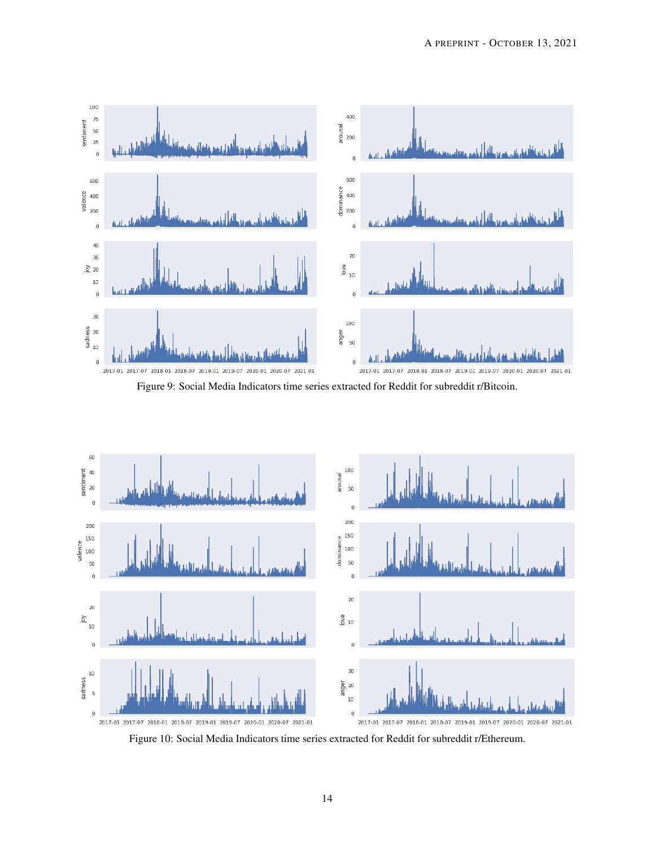<span id="page-13-0"></span>

Figure 9: Social Media Indicators time series extracted for Reddit for subreddit r/Bitcoin.

<span id="page-13-1"></span>

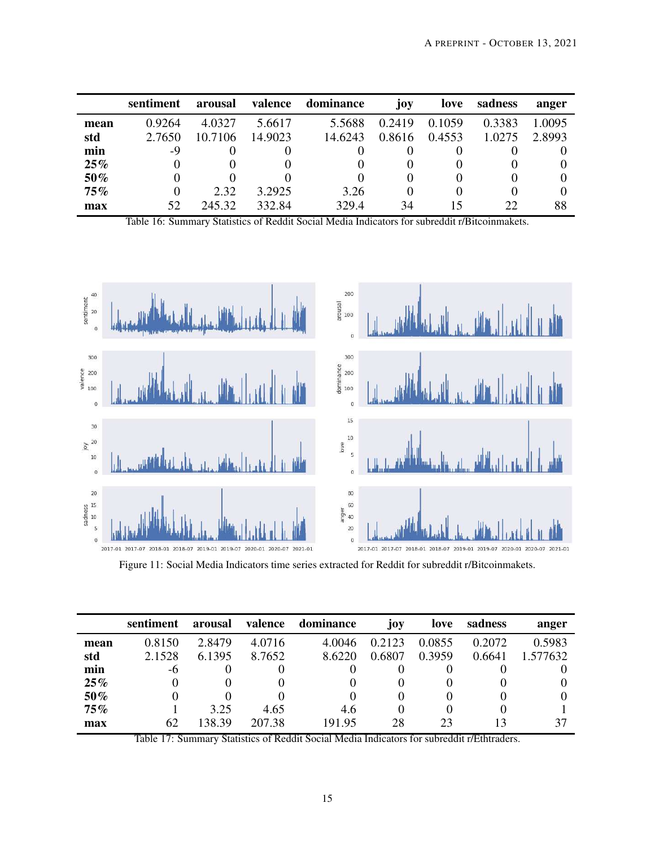<span id="page-14-0"></span>

|      | sentiment | arousal | valence | dominance | joy      | love   | sadness | anger  |
|------|-----------|---------|---------|-----------|----------|--------|---------|--------|
| mean | 0.9264    | 4.0327  | 5.6617  | 5.5688    | 0.2419   | 0.1059 | 0.3383  | 1.0095 |
| std  | 2.7650    | 10.7106 | 14.9023 | 14.6243   | 0.8616   | 0.4553 | 1.0275  | 2.8993 |
| min  | -9        |         |         |           |          |        |         |        |
| 25%  |           |         |         |           | 0        |        |         |        |
| 50%  | $\theta$  |         |         |           | $\theta$ |        |         |        |
| 75%  |           | 2.32    | 3.2925  | 3.26      | 0        |        |         |        |
| max  | 52        | 245.32  | 332.84  | 329.4     | 34       | 15     | 22      | 88     |

Table 16: Summary Statistics of Reddit Social Media Indicators for subreddit r/Bitcoinmakets.

<span id="page-14-1"></span>

Figure 11: Social Media Indicators time series extracted for Reddit for subreddit r/Bitcoinmakets.

<span id="page-14-2"></span>

|        | sentiment    | arousal | valence | dominance | joy.   | love              | sadness      | anger    |
|--------|--------------|---------|---------|-----------|--------|-------------------|--------------|----------|
| mean   | 0.8150       | 2.8479  | 4.0716  | 4.0046    | 0.2123 | 0.0855            | 0.2072       | 0.5983   |
| std    | 2.1528       | 6.1395  | 8.7652  | 8.6220    | 0.6807 | 0.3959            | 0.6641       | 1.577632 |
| min    | -6           |         |         |           |        |                   |              |          |
| 25%    |              |         |         |           |        |                   |              |          |
| 50%    |              |         |         |           |        |                   |              |          |
| $75\%$ |              | 3.25    | 4.65    | 4.6       |        |                   |              |          |
| max    | 62<br>------ | 138.39  | 207.38  | 191.95    | 28     | 23<br>$\sim$<br>. | 13<br>$\sim$ | 37       |

Table 17: Summary Statistics of Reddit Social Media Indicators for subreddit r/Ethtraders.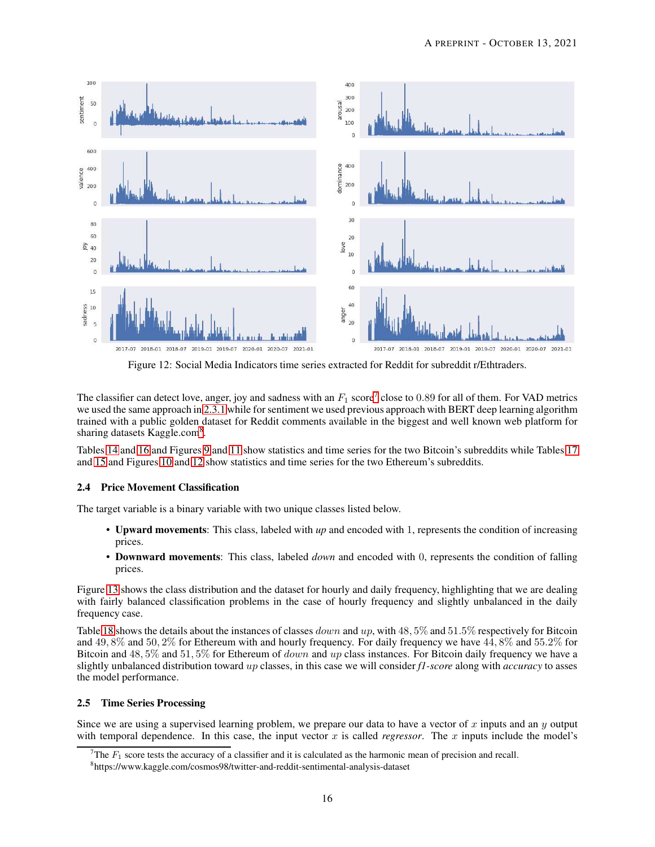<span id="page-15-2"></span>

Figure 12: Social Media Indicators time series extracted for Reddit for subreddit r/Ethtraders.

The classifier can detect love, anger, joy and sadness with an  $F_1$  score<sup>[7](#page-15-0)</sup> close to 0.89 for all of them. For VAD metrics we used the same approach in [2.3.1](#page-10-2) while for sentiment we used previous approach with BERT deep learning algorithm trained with a public golden dataset for Reddit comments available in the biggest and well known web platform for sharing datasets Kaggle.com<sup>[8](#page-15-1)</sup>.

Tables [14](#page-12-1) and [16](#page-14-0) and Figures [9](#page-13-0) and [11](#page-14-1) show statistics and time series for the two Bitcoin's subreddits while Tables [17](#page-14-2) and [15](#page-12-2) and Figures [10](#page-13-1) and [12](#page-15-2) show statistics and time series for the two Ethereum's subreddits.

## <span id="page-15-3"></span>2.4 Price Movement Classification

The target variable is a binary variable with two unique classes listed below.

- Upward movements: This class, labeled with *up* and encoded with 1, represents the condition of increasing prices.
- Downward movements: This class, labeled *down* and encoded with 0, represents the condition of falling prices.

Figure [13](#page-16-0) shows the class distribution and the dataset for hourly and daily frequency, highlighting that we are dealing with fairly balanced classification problems in the case of hourly frequency and slightly unbalanced in the daily frequency case.

Table [18](#page-16-1) shows the details about the instances of classes *down* and up, with  $48,5\%$  and  $51.5\%$  respectively for Bitcoin and 49, 8% and 50, 2% for Ethereum with and hourly frequency. For daily frequency we have 44, 8% and 55.2% for Bitcoin and 48, 5% and 51, 5% for Ethereum of *down* and up class instances. For Bitcoin daily frequency we have a slightly unbalanced distribution toward up classes, in this case we will consider *f1-score* along with *accuracy* to asses the model performance.

#### 2.5 Time Series Processing

Since we are using a supervised learning problem, we prepare our data to have a vector of  $x$  inputs and an  $y$  output with temporal dependence. In this case, the input vector  $x$  is called *regressor*. The  $x$  inputs include the model's

The  $F_1$  score tests the accuracy of a classifier and it is calculated as the harmonic mean of precision and recall.

<span id="page-15-1"></span><span id="page-15-0"></span><sup>8</sup> https://www.kaggle.com/cosmos98/twitter-and-reddit-sentimental-analysis-dataset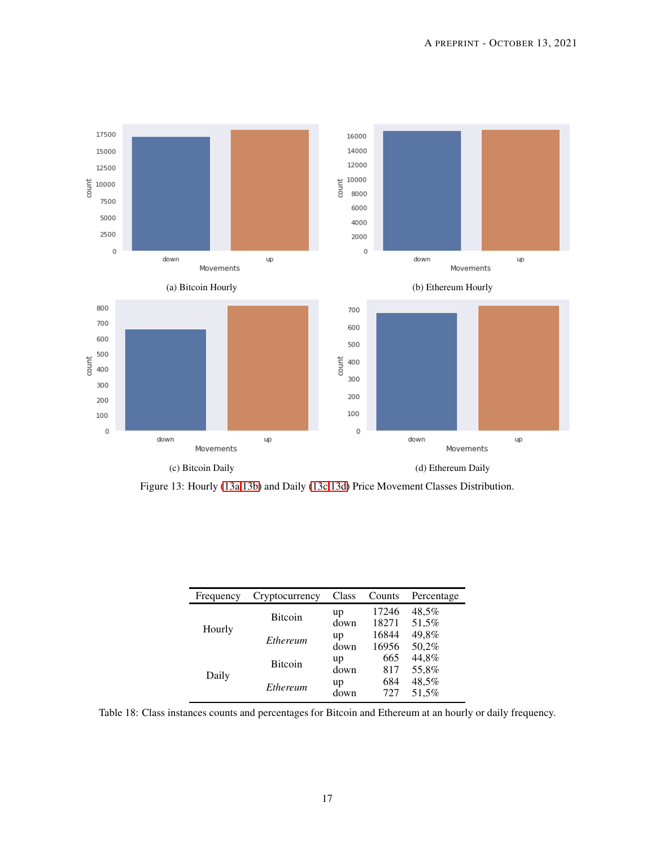<span id="page-16-0"></span>

Figure 13: Hourly [\(13a,13b\)](#page-16-0) and Daily [\(13c,13d\)](#page-16-0) Price Movement Classes Distribution.

<span id="page-16-1"></span>

| Frequency | Cryptocurrency | Class      | Counts         | Percentage     |
|-----------|----------------|------------|----------------|----------------|
| Hourly    | <b>Bitcoin</b> | up<br>down | 17246<br>18271 | 48,5%<br>51,5% |
|           | Ethereum       | up<br>down | 16844<br>16956 | 49,8%<br>50.2% |
|           | <b>Bitcoin</b> | up<br>down | 665<br>817     | 44,8%<br>55,8% |
| Daily     | Ethereum       | up<br>down | 684<br>727     | 48,5%<br>51,5% |

Table 18: Class instances counts and percentages for Bitcoin and Ethereum at an hourly or daily frequency.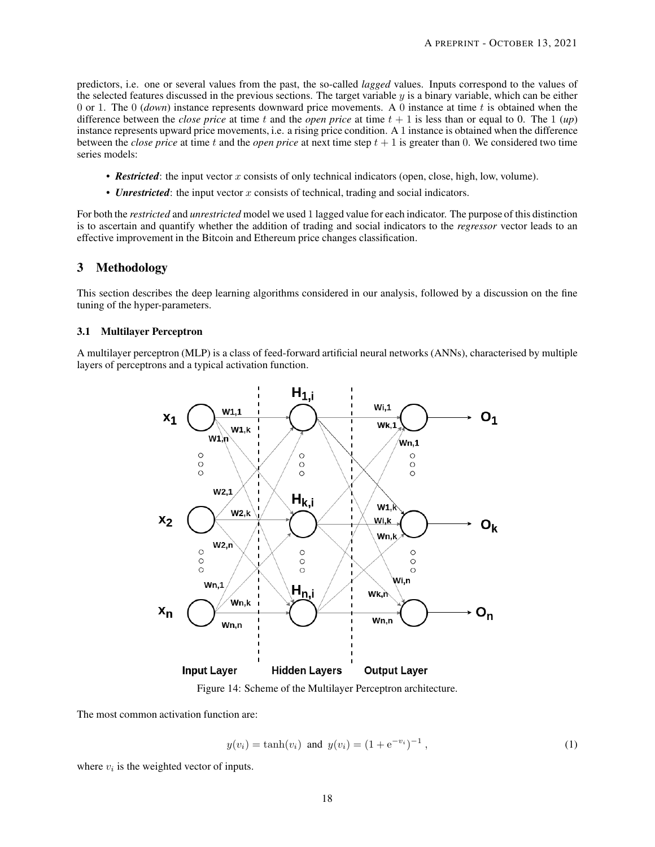predictors, i.e. one or several values from the past, the so-called *lagged* values. Inputs correspond to the values of the selected features discussed in the previous sections. The target variable  $\psi$  is a binary variable, which can be either 0 or 1. The 0 (*down*) instance represents downward price movements. A 0 instance at time t is obtained when the difference between the *close price* at time t and the *open price* at time  $t + 1$  is less than or equal to 0. The 1 (*up*) instance represents upward price movements, i.e. a rising price condition. A 1 instance is obtained when the difference between the *close price* at time t and the *open price* at next time step  $t + 1$  is greater than 0. We considered two time series models:

- **Restricted**: the input vector x consists of only technical indicators (open, close, high, low, volume).
- *Unrestricted*: the input vector x consists of technical, trading and social indicators.

For both the *restricted* and *unrestricted* model we used 1 lagged value for each indicator. The purpose of this distinction is to ascertain and quantify whether the addition of trading and social indicators to the *regressor* vector leads to an effective improvement in the Bitcoin and Ethereum price changes classification.

### <span id="page-17-0"></span>3 Methodology

This section describes the deep learning algorithms considered in our analysis, followed by a discussion on the fine tuning of the hyper-parameters.

#### 3.1 Multilayer Perceptron

<span id="page-17-1"></span>A multilayer perceptron (MLP) is a class of feed-forward artificial neural networks (ANNs), characterised by multiple layers of perceptrons and a typical activation function.



Figure 14: Scheme of the Multilayer Perceptron architecture.

The most common activation function are:

$$
y(v_i) = \tanh(v_i)
$$
 and  $y(v_i) = (1 + e^{-v_i})^{-1}$ , (1)

where  $v_i$  is the weighted vector of inputs.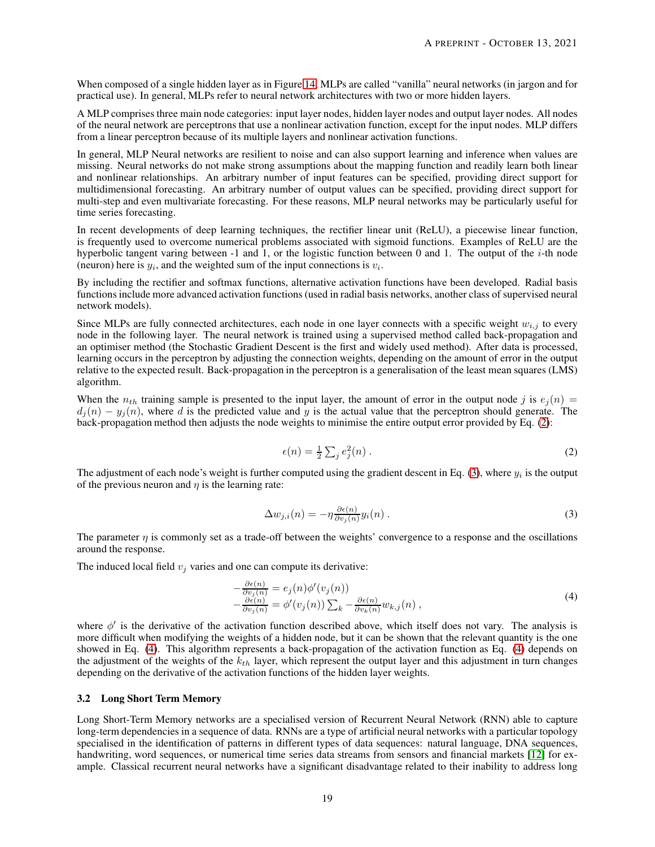When composed of a single hidden layer as in Figure [14,](#page-17-1) MLPs are called "vanilla" neural networks (in jargon and for practical use). In general, MLPs refer to neural network architectures with two or more hidden layers.

A MLP comprises three main node categories: input layer nodes, hidden layer nodes and output layer nodes. All nodes of the neural network are perceptrons that use a nonlinear activation function, except for the input nodes. MLP differs from a linear perceptron because of its multiple layers and nonlinear activation functions.

In general, MLP Neural networks are resilient to noise and can also support learning and inference when values are missing. Neural networks do not make strong assumptions about the mapping function and readily learn both linear and nonlinear relationships. An arbitrary number of input features can be specified, providing direct support for multidimensional forecasting. An arbitrary number of output values can be specified, providing direct support for multi-step and even multivariate forecasting. For these reasons, MLP neural networks may be particularly useful for time series forecasting.

In recent developments of deep learning techniques, the rectifier linear unit (ReLU), a piecewise linear function, is frequently used to overcome numerical problems associated with sigmoid functions. Examples of ReLU are the hyperbolic tangent varing between -1 and 1, or the logistic function between 0 and 1. The output of the  $i$ -th node (neuron) here is  $y_i$ , and the weighted sum of the input connections is  $v_i$ .

By including the rectifier and softmax functions, alternative activation functions have been developed. Radial basis functions include more advanced activation functions (used in radial basis networks, another class of supervised neural network models).

Since MLPs are fully connected architectures, each node in one layer connects with a specific weight  $w_{i,j}$  to every node in the following layer. The neural network is trained using a supervised method called back-propagation and an optimiser method (the Stochastic Gradient Descent is the first and widely used method). After data is processed, learning occurs in the perceptron by adjusting the connection weights, depending on the amount of error in the output relative to the expected result. Back-propagation in the perceptron is a generalisation of the least mean squares (LMS) algorithm.

When the  $n_{th}$  training sample is presented to the input layer, the amount of error in the output node j is  $e_i(n)$  =  $d_i(n) - y_i(n)$ , where d is the predicted value and y is the actual value that the perceptron should generate. The back-propagation method then adjusts the node weights to minimise the entire output error provided by Eq. [\(2\)](#page-18-0):

<span id="page-18-0"></span>
$$
\epsilon(n) = \frac{1}{2} \sum_{j} e_j^2(n) \,. \tag{2}
$$

The adjustment of each node's weight is further computed using the gradient descent in Eq. [\(3\)](#page-18-1), where  $y_i$  is the output of the previous neuron and  $\eta$  is the learning rate:

<span id="page-18-1"></span>
$$
\Delta w_{j,i}(n) = -\eta \frac{\partial \epsilon(n)}{\partial v_j(n)} y_i(n) . \tag{3}
$$

The parameter  $\eta$  is commonly set as a trade-off between the weights' convergence to a response and the oscillations around the response.

The induced local field  $v_j$  varies and one can compute its derivative:

<span id="page-18-2"></span>
$$
-\frac{\partial \epsilon(n)}{\partial v_j(n)} = e_j(n)\phi'(v_j(n))
$$
  

$$
-\frac{\partial \epsilon(n)}{\partial v_j(n)} = \phi'(v_j(n))\sum_k -\frac{\partial \epsilon(n)}{\partial v_k(n)}w_{k,j}(n),
$$
 (4)

where  $\phi'$  is the derivative of the activation function described above, which itself does not vary. The analysis is more difficult when modifying the weights of a hidden node, but it can be shown that the relevant quantity is the one showed in Eq. [\(4\)](#page-18-2). This algorithm represents a back-propagation of the activation function as Eq. [\(4\)](#page-18-2) depends on the adjustment of the weights of the  $k_{th}$  layer, which represent the output layer and this adjustment in turn changes depending on the derivative of the activation functions of the hidden layer weights.

#### 3.2 Long Short Term Memory

Long Short-Term Memory networks are a specialised version of Recurrent Neural Network (RNN) able to capture long-term dependencies in a sequence of data. RNNs are a type of artificial neural networks with a particular topology specialised in the identification of patterns in different types of data sequences: natural language, DNA sequences, handwriting, word sequences, or numerical time series data streams from sensors and financial markets [\[12\]](#page-29-15) for example. Classical recurrent neural networks have a significant disadvantage related to their inability to address long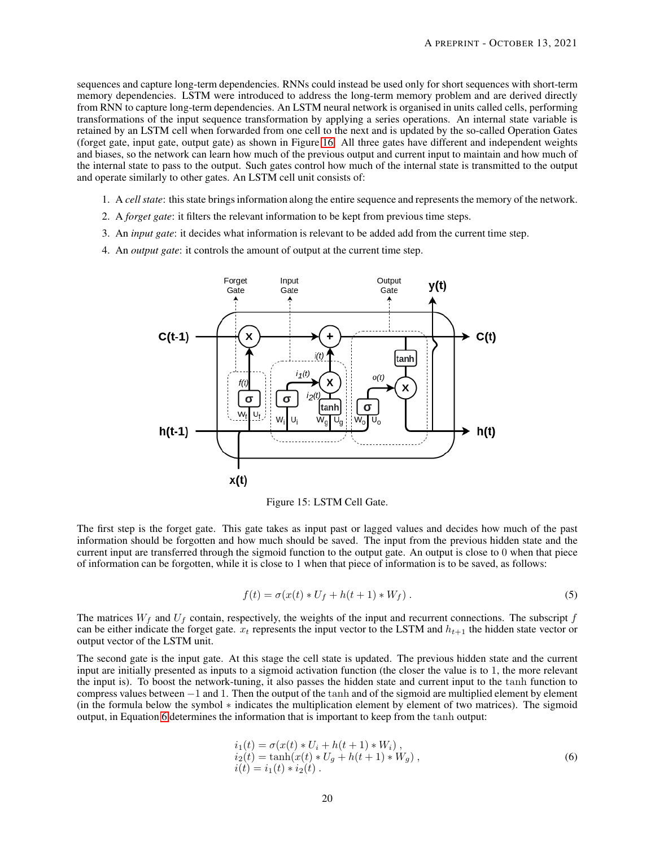sequences and capture long-term dependencies. RNNs could instead be used only for short sequences with short-term memory dependencies. LSTM were introduced to address the long-term memory problem and are derived directly from RNN to capture long-term dependencies. An LSTM neural network is organised in units called cells, performing transformations of the input sequence transformation by applying a series operations. An internal state variable is retained by an LSTM cell when forwarded from one cell to the next and is updated by the so-called Operation Gates (forget gate, input gate, output gate) as shown in Figure [16.](#page-20-0) All three gates have different and independent weights and biases, so the network can learn how much of the previous output and current input to maintain and how much of the internal state to pass to the output. Such gates control how much of the internal state is transmitted to the output and operate similarly to other gates. An LSTM cell unit consists of:

- 1. A *cell state*: this state brings information along the entire sequence and represents the memory of the network.
- 2. A *forget gate*: it filters the relevant information to be kept from previous time steps.
- 3. An *input gate*: it decides what information is relevant to be added add from the current time step.
- 4. An *output gate*: it controls the amount of output at the current time step.



Figure 15: LSTM Cell Gate.

The first step is the forget gate. This gate takes as input past or lagged values and decides how much of the past information should be forgotten and how much should be saved. The input from the previous hidden state and the current input are transferred through the sigmoid function to the output gate. An output is close to 0 when that piece of information can be forgotten, while it is close to 1 when that piece of information is to be saved, as follows:

$$
f(t) = \sigma(x(t) * U_f + h(t+1) * W_f).
$$
 (5)

The matrices  $W_f$  and  $U_f$  contain, respectively, the weights of the input and recurrent connections. The subscript f can be either indicate the forget gate.  $x_t$  represents the input vector to the LSTM and  $h_{t+1}$  the hidden state vector or output vector of the LSTM unit.

The second gate is the input gate. At this stage the cell state is updated. The previous hidden state and the current input are initially presented as inputs to a sigmoid activation function (the closer the value is to 1, the more relevant the input is). To boost the network-tuning, it also passes the hidden state and current input to the tanh function to compress values between −1 and 1. Then the output of the tanh and of the sigmoid are multiplied element by element (in the formula below the symbol ∗ indicates the multiplication element by element of two matrices). The sigmoid output, in Equation [6](#page-19-0) determines the information that is important to keep from the tanh output:

<span id="page-19-0"></span>
$$
i_1(t) = \sigma(x(t) * U_i + h(t+1) * W_i),
$$
  
\n
$$
i_2(t) = \tanh(x(t) * U_g + h(t+1) * W_g),
$$
  
\n
$$
i(t) = i_1(t) * i_2(t).
$$
\n(6)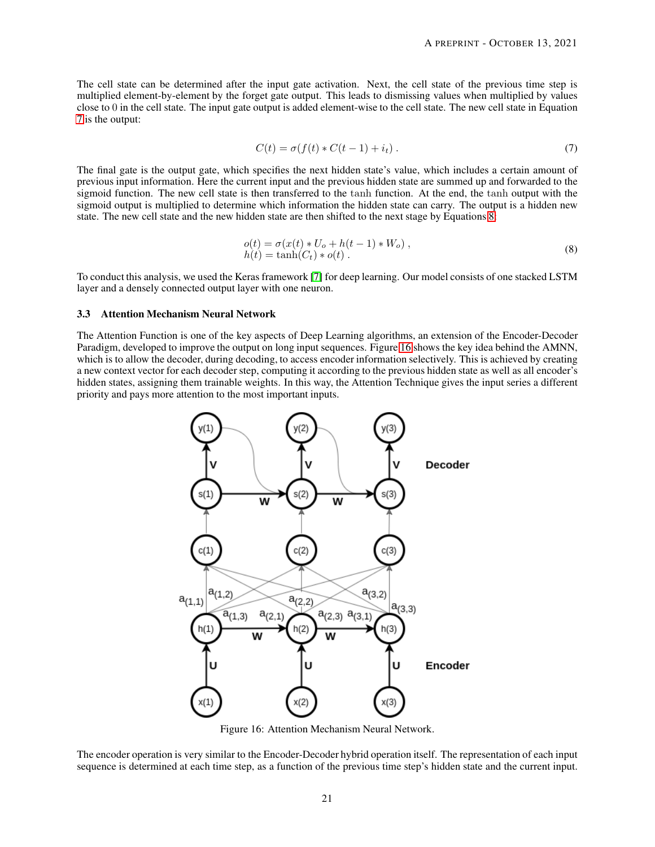The cell state can be determined after the input gate activation. Next, the cell state of the previous time step is multiplied element-by-element by the forget gate output. This leads to dismissing values when multiplied by values close to 0 in the cell state. The input gate output is added element-wise to the cell state. The new cell state in Equation [7](#page-20-1) is the output:

<span id="page-20-1"></span>
$$
C(t) = \sigma(f(t) * C(t-1) + i_t).
$$
\n(7)

The final gate is the output gate, which specifies the next hidden state's value, which includes a certain amount of previous input information. Here the current input and the previous hidden state are summed up and forwarded to the sigmoid function. The new cell state is then transferred to the tanh function. At the end, the tanh output with the sigmoid output is multiplied to determine which information the hidden state can carry. The output is a hidden new state. The new cell state and the new hidden state are then shifted to the next stage by Equations [8:](#page-20-2)

<span id="page-20-2"></span>
$$
o(t) = \sigma(x(t) * U_o + h(t - 1) * W_o),
$$
  
\n
$$
h(t) = \tanh(C_t) * o(t).
$$
\n(8)

To conduct this analysis, we used the Keras framework [\[7\]](#page-29-16) for deep learning. Our model consists of one stacked LSTM layer and a densely connected output layer with one neuron.

#### <span id="page-20-3"></span>3.3 Attention Mechanism Neural Network

<span id="page-20-0"></span>The Attention Function is one of the key aspects of Deep Learning algorithms, an extension of the Encoder-Decoder Paradigm, developed to improve the output on long input sequences. Figure [16](#page-20-0) shows the key idea behind the AMNN, which is to allow the decoder, during decoding, to access encoder information selectively. This is achieved by creating a new context vector for each decoder step, computing it according to the previous hidden state as well as all encoder's hidden states, assigning them trainable weights. In this way, the Attention Technique gives the input series a different priority and pays more attention to the most important inputs.



Figure 16: Attention Mechanism Neural Network.

The encoder operation is very similar to the Encoder-Decoder hybrid operation itself. The representation of each input sequence is determined at each time step, as a function of the previous time step's hidden state and the current input.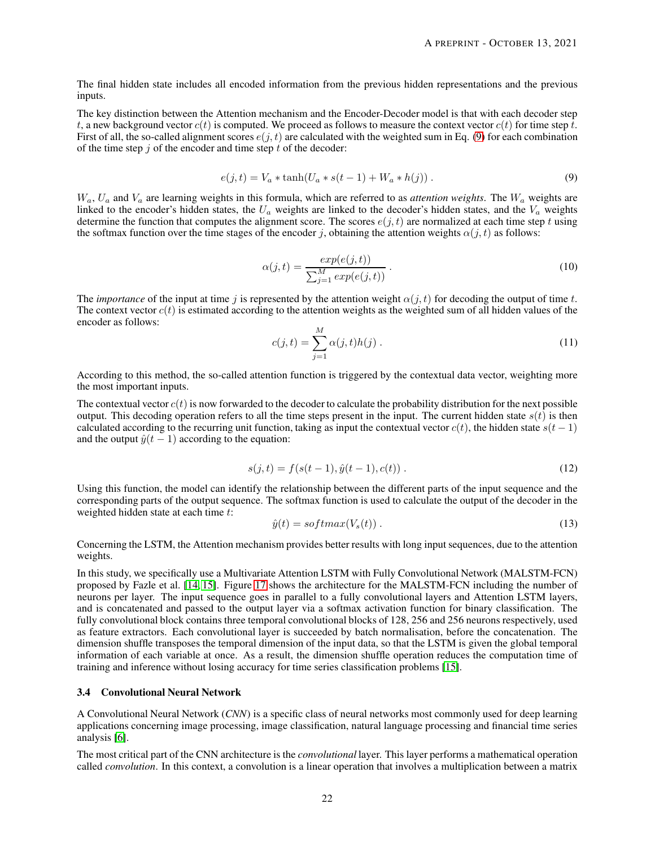The final hidden state includes all encoded information from the previous hidden representations and the previous inputs.

The key distinction between the Attention mechanism and the Encoder-Decoder model is that with each decoder step t, a new background vector  $c(t)$  is computed. We proceed as follows to measure the context vector  $c(t)$  for time step t. First of all, the so-called alignment scores  $e(j, t)$  are calculated with the weighted sum in Eq. [\(9\)](#page-21-0) for each combination of the time step  $j$  of the encoder and time step  $t$  of the decoder:

<span id="page-21-0"></span>
$$
e(j,t) = V_a * \tanh(U_a * s(t-1) + W_a * h(j)).
$$
\n(9)

 $W_a$ ,  $U_a$  and  $V_a$  are learning weights in this formula, which are referred to as *attention weights*. The  $W_a$  weights are linked to the encoder's hidden states, the  $U_a$  weights are linked to the decoder's hidden states, and the  $V_a$  weights determine the function that computes the alignment score. The scores  $e(j, t)$  are normalized at each time step t using the softmax function over the time stages of the encoder j, obtaining the attention weights  $\alpha(j, t)$  as follows:

$$
\alpha(j,t) = \frac{\exp(e(j,t))}{\sum_{j=1}^{M} \exp(e(j,t))} \,. \tag{10}
$$

The *importance* of the input at time j is represented by the attention weight  $\alpha(j, t)$  for decoding the output of time t. The context vector  $c(t)$  is estimated according to the attention weights as the weighted sum of all hidden values of the encoder as follows:

$$
c(j,t) = \sum_{j=1}^{M} \alpha(j,t)h(j) \,. \tag{11}
$$

According to this method, the so-called attention function is triggered by the contextual data vector, weighting more the most important inputs.

The contextual vector  $c(t)$  is now forwarded to the decoder to calculate the probability distribution for the next possible output. This decoding operation refers to all the time steps present in the input. The current hidden state  $s(t)$  is then calculated according to the recurring unit function, taking as input the contextual vector  $c(t)$ , the hidden state  $s(t-1)$ and the output  $\hat{y}(t-1)$  according to the equation:

$$
s(j,t) = f(s(t-1), \hat{y}(t-1), c(t)) \tag{12}
$$

Using this function, the model can identify the relationship between the different parts of the input sequence and the corresponding parts of the output sequence. The softmax function is used to calculate the output of the decoder in the weighted hidden state at each time t:

$$
\hat{y}(t) = softmax(V_s(t)).\tag{13}
$$

Concerning the LSTM, the Attention mechanism provides better results with long input sequences, due to the attention weights.

In this study, we specifically use a Multivariate Attention LSTM with Fully Convolutional Network (MALSTM-FCN) proposed by Fazle et al. [\[14,](#page-29-17) [15\]](#page-29-1). Figure [17](#page-22-0) shows the architecture for the MALSTM-FCN including the number of neurons per layer. The input sequence goes in parallel to a fully convolutional layers and Attention LSTM layers, and is concatenated and passed to the output layer via a softmax activation function for binary classification. The fully convolutional block contains three temporal convolutional blocks of 128, 256 and 256 neurons respectively, used as feature extractors. Each convolutional layer is succeeded by batch normalisation, before the concatenation. The dimension shuffle transposes the temporal dimension of the input data, so that the LSTM is given the global temporal information of each variable at once. As a result, the dimension shuffle operation reduces the computation time of training and inference without losing accuracy for time series classification problems [\[15\]](#page-29-1).

#### 3.4 Convolutional Neural Network

A Convolutional Neural Network (*CNN*) is a specific class of neural networks most commonly used for deep learning applications concerning image processing, image classification, natural language processing and financial time series analysis [\[6\]](#page-29-18).

The most critical part of the CNN architecture is the *convolutional* layer. This layer performs a mathematical operation called *convolution*. In this context, a convolution is a linear operation that involves a multiplication between a matrix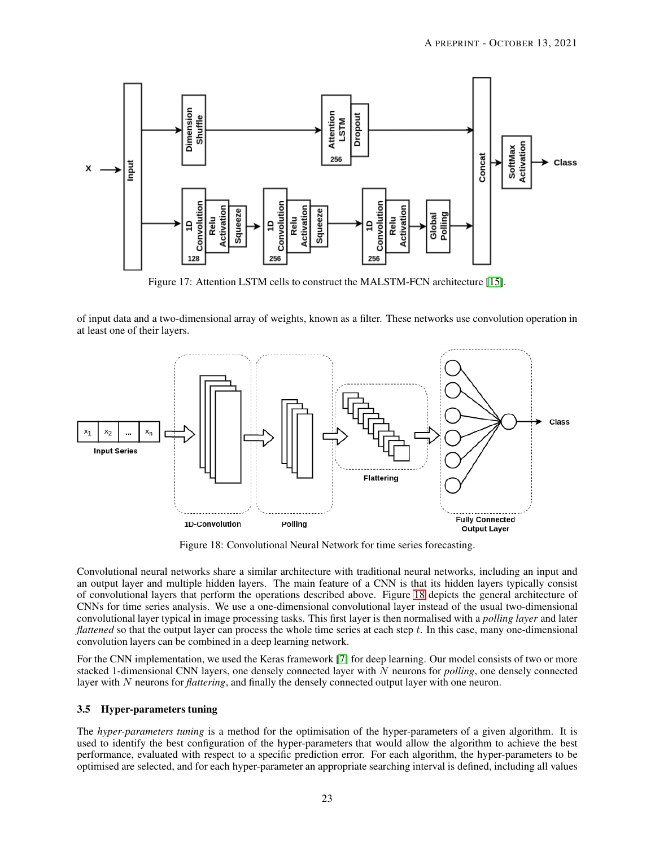<span id="page-22-0"></span>

Figure 17: Attention LSTM cells to construct the MALSTM-FCN architecture [\[15\]](#page-29-1).

of input data and a two-dimensional array of weights, known as a filter. These networks use convolution operation in at least one of their layers.

<span id="page-22-1"></span>

Figure 18: Convolutional Neural Network for time series forecasting.

Convolutional neural networks share a similar architecture with traditional neural networks, including an input and an output layer and multiple hidden layers. The main feature of a CNN is that its hidden layers typically consist of convolutional layers that perform the operations described above. Figure [18](#page-22-1) depicts the general architecture of CNNs for time series analysis. We use a one-dimensional convolutional layer instead of the usual two-dimensional convolutional layer typical in image processing tasks. This first layer is then normalised with a *polling layer* and later *flattened* so that the output layer can process the whole time series at each step t. In this case, many one-dimensional convolution layers can be combined in a deep learning network.

For the CNN implementation, we used the Keras framework [\[7\]](#page-29-16) for deep learning. Our model consists of two or more stacked 1-dimensional CNN layers, one densely connected layer with N neurons for *polling*, one densely connected layer with N neurons for *flattering*, and finally the densely connected output layer with one neuron.

#### <span id="page-22-2"></span>3.5 Hyper-parameters tuning

The *hyper-parameters tuning* is a method for the optimisation of the hyper-parameters of a given algorithm. It is used to identify the best configuration of the hyper-parameters that would allow the algorithm to achieve the best performance, evaluated with respect to a specific prediction error. For each algorithm, the hyper-parameters to be optimised are selected, and for each hyper-parameter an appropriate searching interval is defined, including all values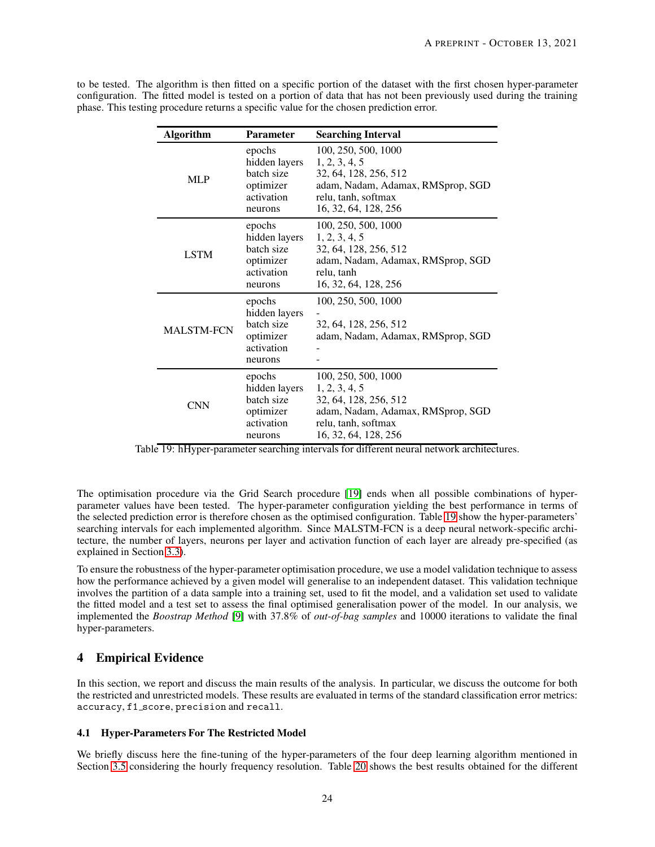| <b>Algorithm</b>  | <b>Parameter</b>                                                            | <b>Searching Interval</b>                                                                                                                         |  |  |  |  |
|-------------------|-----------------------------------------------------------------------------|---------------------------------------------------------------------------------------------------------------------------------------------------|--|--|--|--|
| <b>MLP</b>        | epochs<br>hidden layers<br>batch size<br>optimizer<br>activation<br>neurons | 100, 250, 500, 1000<br>1, 2, 3, 4, 5<br>32, 64, 128, 256, 512<br>adam, Nadam, Adamax, RMSprop, SGD<br>relu, tanh, softmax<br>16, 32, 64, 128, 256 |  |  |  |  |
| <b>LSTM</b>       | epochs<br>hidden layers<br>batch size<br>optimizer<br>activation<br>neurons | 100, 250, 500, 1000<br>1, 2, 3, 4, 5<br>32, 64, 128, 256, 512<br>adam, Nadam, Adamax, RMSprop, SGD<br>relu, tanh<br>16, 32, 64, 128, 256          |  |  |  |  |
| <b>MALSTM-FCN</b> | epochs<br>hidden layers<br>batch size<br>optimizer<br>activation<br>neurons | 100, 250, 500, 1000<br>32, 64, 128, 256, 512<br>adam, Nadam, Adamax, RMSprop, SGD                                                                 |  |  |  |  |
| <b>CNN</b>        | epochs<br>hidden layers<br>batch size<br>optimizer<br>activation<br>neurons | 100, 250, 500, 1000<br>1, 2, 3, 4, 5<br>32, 64, 128, 256, 512<br>adam, Nadam, Adamax, RMSprop, SGD<br>relu, tanh, softmax<br>16, 32, 64, 128, 256 |  |  |  |  |

<span id="page-23-1"></span>to be tested. The algorithm is then fitted on a specific portion of the dataset with the first chosen hyper-parameter configuration. The fitted model is tested on a portion of data that has not been previously used during the training phase. This testing procedure returns a specific value for the chosen prediction error.

Table 19: hHyper-parameter searching intervals for different neural network architectures.

The optimisation procedure via the Grid Search procedure [\[19\]](#page-29-19) ends when all possible combinations of hyperparameter values have been tested. The hyper-parameter configuration yielding the best performance in terms of the selected prediction error is therefore chosen as the optimised configuration. Table [19](#page-23-1) show the hyper-parameters' searching intervals for each implemented algorithm. Since MALSTM-FCN is a deep neural network-specific architecture, the number of layers, neurons per layer and activation function of each layer are already pre-specified (as explained in Section [3.3\)](#page-20-3).

To ensure the robustness of the hyper-parameter optimisation procedure, we use a model validation technique to assess how the performance achieved by a given model will generalise to an independent dataset. This validation technique involves the partition of a data sample into a training set, used to fit the model, and a validation set used to validate the fitted model and a test set to assess the final optimised generalisation power of the model. In our analysis, we implemented the *Boostrap Method* [\[9\]](#page-29-20) with 37.8% of *out-of-bag samples* and 10000 iterations to validate the final hyper-parameters.

# <span id="page-23-0"></span>4 Empirical Evidence

In this section, we report and discuss the main results of the analysis. In particular, we discuss the outcome for both the restricted and unrestricted models. These results are evaluated in terms of the standard classification error metrics: accuracy, f1 score, precision and recall.

#### 4.1 Hyper-Parameters For The Restricted Model

We briefly discuss here the fine-tuning of the hyper-parameters of the four deep learning algorithm mentioned in Section [3.5](#page-22-2) considering the hourly frequency resolution. Table [20](#page-24-0) shows the best results obtained for the different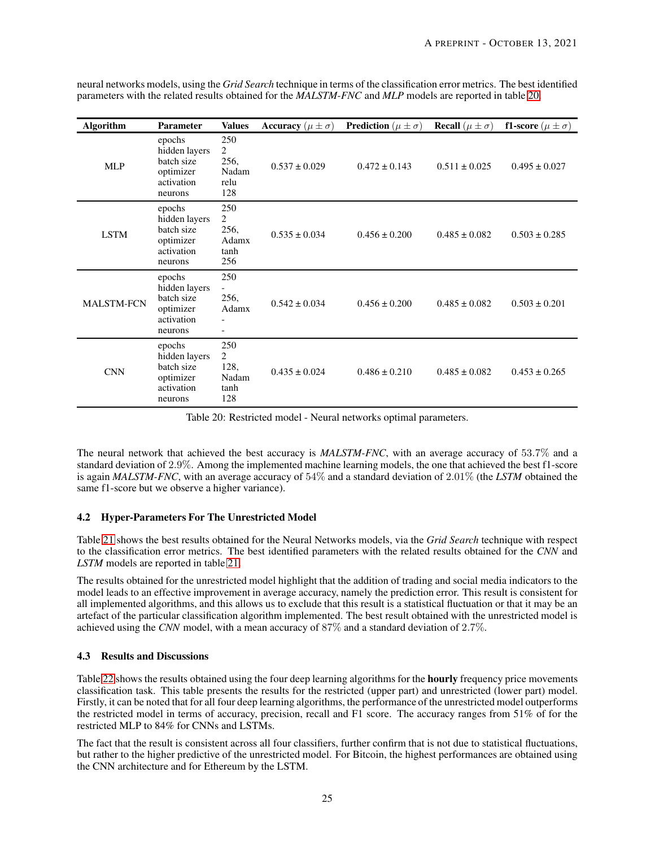<span id="page-24-0"></span>

| <b>Algorithm</b>  | <b>Parameter</b>                                                            | <b>Values</b>                                         | Accuracy ( $\mu \pm \sigma$ ) | <b>Prediction</b> ( $\mu \pm \sigma$ ) | <b>Recall</b> ( $\mu \pm \sigma$ ) | <b>f1-score</b> ( $\mu \pm \sigma$ ) |
|-------------------|-----------------------------------------------------------------------------|-------------------------------------------------------|-------------------------------|----------------------------------------|------------------------------------|--------------------------------------|
| <b>MLP</b>        | epochs<br>hidden layers<br>batch size<br>optimizer<br>activation<br>neurons | 250<br>2<br>256,<br>Nadam<br>relu<br>128              | $0.537 \pm 0.029$             | $0.472 \pm 0.143$                      | $0.511 \pm 0.025$                  | $0.495 \pm 0.027$                    |
| LSTM              | epochs<br>hidden layers<br>batch size<br>optimizer<br>activation<br>neurons | 250<br>$\overline{2}$<br>256,<br>Adamx<br>tanh<br>256 | $0.535 \pm 0.034$             | $0.456 \pm 0.200$                      | $0.485 \pm 0.082$                  | $0.503 \pm 0.285$                    |
| <b>MALSTM-FCN</b> | epochs<br>hidden layers<br>batch size<br>optimizer<br>activation<br>neurons | 250<br>256,<br>Adamx                                  | $0.542 \pm 0.034$             | $0.456 \pm 0.200$                      | $0.485 \pm 0.082$                  | $0.503 \pm 0.201$                    |
| <b>CNN</b>        | epochs<br>hidden layers<br>batch size<br>optimizer<br>activation<br>neurons | 250<br>$\overline{c}$<br>128,<br>Nadam<br>tanh<br>128 | $0.435 \pm 0.024$             | $0.486 \pm 0.210$                      | $0.485 \pm 0.082$                  | $0.453 \pm 0.265$                    |

neural networks models, using the *Grid Search* technique in terms of the classification error metrics. The best identified parameters with the related results obtained for the *MALSTM-FNC* and *MLP* models are reported in table [20.](#page-24-0)

Table 20: Restricted model - Neural networks optimal parameters.

The neural network that achieved the best accuracy is *MALSTM-FNC*, with an average accuracy of 53.7% and a standard deviation of 2.9%. Among the implemented machine learning models, the one that achieved the best f1-score is again *MALSTM-FNC*, with an average accuracy of 54% and a standard deviation of 2.01% (the *LSTM* obtained the same f1-score but we observe a higher variance).

## 4.2 Hyper-Parameters For The Unrestricted Model

Table [21](#page-25-1) shows the best results obtained for the Neural Networks models, via the *Grid Search* technique with respect to the classification error metrics. The best identified parameters with the related results obtained for the *CNN* and *LSTM* models are reported in table [21.](#page-25-1)

The results obtained for the unrestricted model highlight that the addition of trading and social media indicators to the model leads to an effective improvement in average accuracy, namely the prediction error. This result is consistent for all implemented algorithms, and this allows us to exclude that this result is a statistical fluctuation or that it may be an artefact of the particular classification algorithm implemented. The best result obtained with the unrestricted model is achieved using the *CNN* model, with a mean accuracy of 87% and a standard deviation of 2.7%.

## 4.3 Results and Discussions

Table [22](#page-26-0) shows the results obtained using the four deep learning algorithms for the **hourly** frequency price movements classification task. This table presents the results for the restricted (upper part) and unrestricted (lower part) model. Firstly, it can be noted that for all four deep learning algorithms, the performance of the unrestricted model outperforms the restricted model in terms of accuracy, precision, recall and F1 score. The accuracy ranges from 51% of for the restricted MLP to 84% for CNNs and LSTMs.

The fact that the result is consistent across all four classifiers, further confirm that is not due to statistical fluctuations, but rather to the higher predictive of the unrestricted model. For Bitcoin, the highest performances are obtained using the CNN architecture and for Ethereum by the LSTM.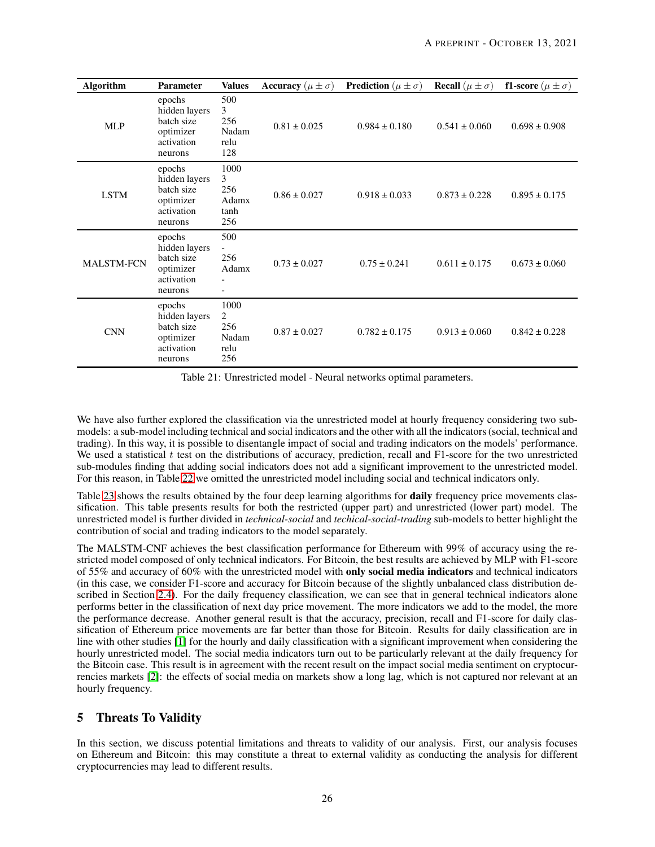<span id="page-25-1"></span>

| <b>Algorithm</b>  | <b>Parameter</b>                                                            | <b>Values</b>                                                               | <b>Accuracy</b> ( $\mu \pm \sigma$ ) | <b>Prediction</b> ( $\mu \pm \sigma$ ) | <b>Recall</b> $(\mu \pm \sigma)$ | <b>f1-score</b> ( $\mu \pm \sigma$ ) |
|-------------------|-----------------------------------------------------------------------------|-----------------------------------------------------------------------------|--------------------------------------|----------------------------------------|----------------------------------|--------------------------------------|
| <b>MLP</b>        | epochs<br>hidden layers<br>batch size<br>optimizer<br>activation<br>neurons | 500<br>3<br>256<br>Nadam<br>relu<br>128                                     | $0.81 \pm 0.025$                     | $0.984 \pm 0.180$                      | $0.541 \pm 0.060$                | $0.698 \pm 0.908$                    |
| <b>LSTM</b>       | epochs<br>hidden layers<br>batch size<br>optimizer<br>activation<br>neurons | 1000<br>3<br>256<br>Adamx<br>tanh<br>256                                    | $0.86 \pm 0.027$                     | $0.918 \pm 0.033$                      | $0.873 \pm 0.228$                | $0.895 \pm 0.175$                    |
| <b>MALSTM-FCN</b> | epochs<br>hidden layers<br>batch size<br>optimizer<br>activation<br>neurons | 500<br>$\overline{\phantom{a}}$<br>256<br>Adamx<br>$\overline{\phantom{0}}$ | $0.73 \pm 0.027$                     | $0.75 \pm 0.241$                       | $0.611 \pm 0.175$                | $0.673 \pm 0.060$                    |
| <b>CNN</b>        | epochs<br>hidden layers<br>batch size<br>optimizer<br>activation<br>neurons | 1000<br>$\overline{c}$<br>256<br>Nadam<br>relu<br>256                       | $0.87 \pm 0.027$                     | $0.782 \pm 0.175$                      | $0.913 \pm 0.060$                | $0.842 \pm 0.228$                    |

Table 21: Unrestricted model - Neural networks optimal parameters.

We have also further explored the classification via the unrestricted model at hourly frequency considering two submodels: a sub-model including technical and social indicators and the other with all the indicators (social, technical and trading). In this way, it is possible to disentangle impact of social and trading indicators on the models' performance. We used a statistical  $t$  test on the distributions of accuracy, prediction, recall and F1-score for the two unrestricted sub-modules finding that adding social indicators does not add a significant improvement to the unrestricted model. For this reason, in Table [22](#page-26-0) we omitted the unrestricted model including social and technical indicators only.

Table [23](#page-27-0) shows the results obtained by the four deep learning algorithms for **daily** frequency price movements classification. This table presents results for both the restricted (upper part) and unrestricted (lower part) model. The unrestricted model is further divided in *technical-social* and *techical-social-trading* sub-models to better highlight the contribution of social and trading indicators to the model separately.

The MALSTM-CNF achieves the best classification performance for Ethereum with 99% of accuracy using the restricted model composed of only technical indicators. For Bitcoin, the best results are achieved by MLP with F1-score of 55% and accuracy of 60% with the unrestricted model with only social media indicators and technical indicators (in this case, we consider F1-score and accuracy for Bitcoin because of the slightly unbalanced class distribution de-scribed in Section [2.4\)](#page-15-3). For the daily frequency classification, we can see that in general technical indicators alone performs better in the classification of next day price movement. The more indicators we add to the model, the more the performance decrease. Another general result is that the accuracy, precision, recall and F1-score for daily classification of Ethereum price movements are far better than those for Bitcoin. Results for daily classification are in line with other studies [\[1\]](#page-28-2) for the hourly and daily classification with a significant improvement when considering the hourly unrestricted model. The social media indicators turn out to be particularly relevant at the daily frequency for the Bitcoin case. This result is in agreement with the recent result on the impact social media sentiment on cryptocurrencies markets [\[2\]](#page-28-0): the effects of social media on markets show a long lag, which is not captured nor relevant at an hourly frequency.

# <span id="page-25-0"></span>5 Threats To Validity

In this section, we discuss potential limitations and threats to validity of our analysis. First, our analysis focuses on Ethereum and Bitcoin: this may constitute a threat to external validity as conducting the analysis for different cryptocurrencies may lead to different results.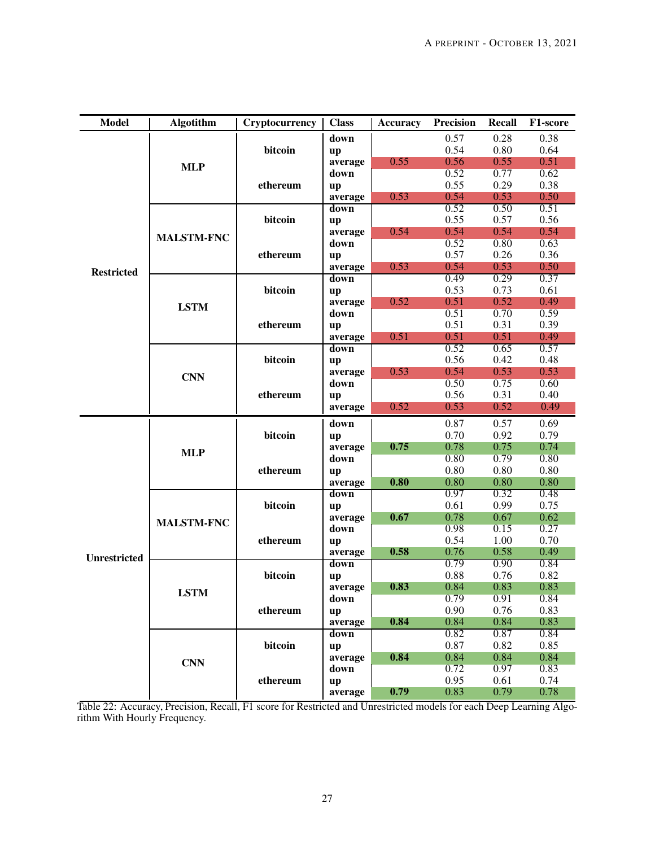<span id="page-26-0"></span>

| <b>Model</b>        | <b>Algotithm</b>  | Cryptocurrency | <b>Class</b> | Accuracy | Precision | Recall | F1-score |
|---------------------|-------------------|----------------|--------------|----------|-----------|--------|----------|
|                     |                   |                | down         |          | 0.57      | 0.28   | 0.38     |
|                     |                   | bitcoin        | up           |          | 0.54      | 0.80   | 0.64     |
|                     |                   |                | average      | 0.55     | 0.56      | 0.55   | 0.51     |
|                     | <b>MLP</b>        |                | down         |          | 0.52      | 0.77   | 0.62     |
|                     |                   | ethereum       | up           |          | 0.55      | 0.29   | 0.38     |
|                     |                   |                | average      | 0.53     | 0.54      | 0.53   | 0.50     |
|                     |                   |                | down         |          | 0.52      | 0.50   | 0.51     |
|                     |                   | bitcoin        | up           |          | 0.55      | 0.57   | 0.56     |
|                     |                   |                | average      | 0.54     | 0.54      | 0.54   | 0.54     |
|                     | <b>MALSTM-FNC</b> |                | down         |          | 0.52      | 0.80   | 0.63     |
|                     |                   | ethereum       | up           |          | 0.57      | 0.26   | 0.36     |
| <b>Restricted</b>   |                   |                | average      | 0.53     | 0.54      | 0.53   | 0.50     |
|                     |                   |                | down         |          | 0.49      | 0.29   | 0.37     |
|                     |                   | bitcoin        | up           |          | 0.53      | 0.73   | 0.61     |
|                     | <b>LSTM</b>       |                | average      | 0.52     | 0.51      | 0.52   | 0.49     |
|                     |                   |                | down         |          | 0.51      | 0.70   | 0.59     |
|                     |                   | ethereum       | up           |          | 0.51      | 0.31   | 0.39     |
|                     |                   |                | average      | 0.51     | 0.51      | 0.51   | 0.49     |
|                     |                   |                | down         |          | 0.52      | 0.65   | 0.57     |
|                     |                   | bitcoin        | up           |          | 0.56      | 0.42   | 0.48     |
|                     | <b>CNN</b>        |                | average      | 0.53     | 0.54      | 0.53   | 0.53     |
|                     |                   |                | down         |          | 0.50      | 0.75   | 0.60     |
|                     |                   | ethereum       | up           |          | 0.56      | 0.31   | 0.40     |
|                     |                   |                | average      | 0.52     | 0.53      | 0.52   | 0.49     |
|                     |                   | bitcoin        | down         |          | 0.87      | 0.57   | 0.69     |
|                     | <b>MLP</b>        |                | up           |          | 0.70      | 0.92   | 0.79     |
|                     |                   |                | average      | 0.75     | 0.78      | 0.75   | 0.74     |
|                     |                   |                | down         |          | 0.80      | 0.79   | 0.80     |
|                     |                   | ethereum       | up           |          | 0.80      | 0.80   | 0.80     |
|                     |                   |                | average      | 0.80     | 0.80      | 0.80   | 0.80     |
|                     |                   |                | down         |          | 0.97      | 0.32   | 0.48     |
|                     |                   | bitcoin        | up           |          | 0.61      | 0.99   | 0.75     |
|                     | <b>MALSTM-FNC</b> |                | average      | 0.67     | 0.78      | 0.67   | 0.62     |
|                     |                   |                | down         |          | 0.98      | 0.15   | 0.27     |
|                     |                   | ethereum       | up           |          | 0.54      | 1.00   | 0.70     |
| <b>Unrestricted</b> |                   |                | average      | 0.58     | 0.76      | 0.58   | 0.49     |
|                     |                   |                | down         |          | 0.79      | 0.90   | 0.84     |
|                     |                   | bitcoin        | up           |          | 0.88      | 0.76   | 0.82     |
|                     | <b>LSTM</b>       |                | average      | 0.83     | 0.84      | 0.83   | 0.83     |
|                     |                   |                | down         |          | 0.79      | 0.91   | 0.84     |
|                     |                   | ethereum       | up           |          | 0.90      | 0.76   | 0.83     |
|                     |                   |                | average      | 0.84     | 0.84      | 0.84   | 0.83     |
|                     |                   |                | down         |          | 0.82      | 0.87   | 0.84     |
|                     |                   | bitcoin        | up           |          | 0.87      | 0.82   | 0.85     |
|                     | <b>CNN</b>        |                | average      | 0.84     | 0.84      | 0.84   | 0.84     |
|                     |                   |                | down         |          | 0.72      | 0.97   | 0.83     |
|                     |                   | ethereum       | up           |          | 0.95      | 0.61   | 0.74     |
|                     |                   |                | average      | 0.79     | 0.83      | 0.79   | 0.78     |

Table 22: Accuracy, Precision, Recall, F1 score for Restricted and Unrestricted models for each Deep Learning Algorithm With Hourly Frequency.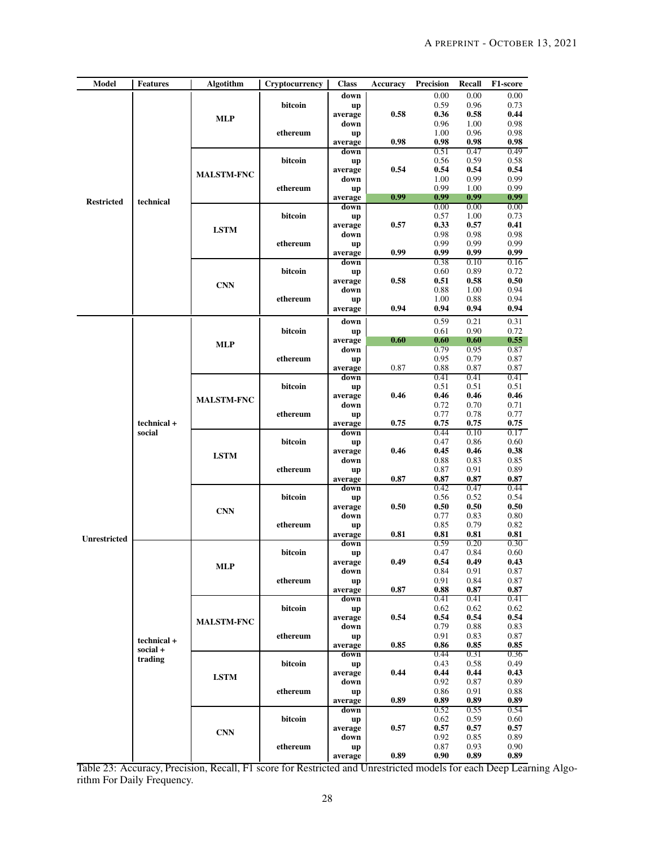<span id="page-27-0"></span>

| <b>Model</b>        | <b>Features</b>       | <b>Algotithm</b>  | Cryptocurrency | <b>Class</b>         | <b>Accuracy</b> | <b>Precision</b> | Recall       | F1-score          |
|---------------------|-----------------------|-------------------|----------------|----------------------|-----------------|------------------|--------------|-------------------|
|                     |                       |                   |                | down                 |                 | 0.00             | 0.00         | 0.00              |
|                     |                       |                   | bitcoin        | up<br>average        | 0.58            | 0.59<br>0.36     | 0.96<br>0.58 | 0.73<br>0.44      |
|                     |                       | <b>MLP</b>        |                | down                 |                 | 0.96             | 1.00         | 0.98              |
|                     |                       |                   | ethereum       | up                   |                 | 1.00             | 0.96         | 0.98              |
|                     |                       |                   |                | average<br>down      | 0.98            | 0.98<br>0.51     | 0.98<br>0.47 | 0.98<br>0.49      |
|                     |                       |                   | bitcoin        | up                   |                 | 0.56             | 0.59         | 0.58              |
|                     |                       | <b>MALSTM-FNC</b> |                | average              | 0.54            | 0.54             | 0.54         | 0.54              |
|                     |                       |                   |                | down                 |                 | 1.00<br>0.99     | 0.99<br>1.00 | 0.99<br>0.99      |
|                     |                       |                   | ethereum       | up<br>average        | 0.99            | 0.99             | 0.99         | 0.99 <sub>1</sub> |
| <b>Restricted</b>   | technical             |                   |                | down                 |                 | 0.00             | 0.00         | 0.00              |
|                     |                       |                   | bitcoin        | up<br>average        | 0.57            | 0.57<br>0.33     | 1.00<br>0.57 | 0.73<br>0.41      |
|                     |                       | <b>LSTM</b>       |                | down                 |                 | 0.98             | 0.98         | 0.98              |
|                     |                       |                   | ethereum       | up                   |                 | 0.99             | 0.99         | 0.99              |
|                     |                       |                   |                | average<br>down      | 0.99            | 0.99<br>0.38     | 0.99<br>0.10 | 0.99<br>0.16      |
|                     |                       |                   | bitcoin        | up                   |                 | 0.60             | 0.89         | 0.72              |
|                     |                       | <b>CNN</b>        |                | average              | 0.58            | 0.51             | 0.58         | 0.50              |
|                     |                       |                   | ethereum       | down                 |                 | 0.88<br>1.00     | 1.00<br>0.88 | 0.94<br>0.94      |
|                     |                       |                   |                | up<br>average        | 0.94            | 0.94             | 0.94         | 0.94              |
|                     |                       |                   |                | down                 |                 | 0.59             | 0.21         | 0.31              |
|                     |                       |                   | bitcoin        | up                   |                 | 0.61             | 0.90         | 0.72              |
|                     |                       | <b>MLP</b>        |                | average              | 0.60            | 0.60             | 0.60         | 0.55              |
|                     |                       |                   | ethereum       | down<br>up           |                 | 0.79<br>0.95     | 0.95<br>0.79 | 0.87<br>0.87      |
|                     |                       |                   |                | average              | 0.87            | 0.88             | 0.87         | 0.87              |
|                     |                       |                   |                | down                 |                 | 0.41             | 0.41         | 0.41              |
|                     |                       |                   | bitcoin        | <b>up</b><br>average | 0.46            | 0.51<br>0.46     | 0.51<br>0.46 | 0.51<br>0.46      |
|                     |                       | <b>MALSTM-FNC</b> |                | down                 |                 | 0.72             | 0.70         | 0.71              |
|                     |                       |                   | ethereum       | up                   |                 | 0.77             | 0.78         | 0.77              |
|                     | technical +<br>social |                   |                | average<br>down      | 0.75            | 0.75<br>0.44     | 0.75<br>0.10 | 0.75<br>0.17      |
|                     |                       | <b>LSTM</b>       | bitcoin        | up                   |                 | 0.47             | 0.86         | 0.60              |
|                     |                       |                   |                | average              | 0.46            | 0.45             | 0.46         | 0.38              |
|                     |                       |                   | ethereum       | down<br>up           |                 | 0.88<br>0.87     | 0.83<br>0.91 | 0.85<br>0.89      |
|                     |                       |                   |                | average              | 0.87            | 0.87             | 0.87         | 0.87              |
|                     |                       |                   |                | down                 |                 | 0.42             | 0.47<br>0.52 | 0.44<br>0.54      |
|                     |                       |                   | bitcoin        | up<br>average        | 0.50            | 0.56<br>0.50     | 0.50         | 0.50              |
|                     |                       | <b>CNN</b>        |                | down                 |                 | 0.77             | 0.83         | 0.80              |
|                     |                       |                   | ethereum       | up                   | 0.81            | 0.85<br>0.81     | 0.79<br>0.81 | 0.82<br>0.81      |
| <b>Unrestricted</b> |                       |                   |                | average<br>down      |                 | 0.59             | 0.20         | 0.30              |
|                     |                       |                   | bitcoin        | up                   |                 | 0.47             | 0.84         | 0.60              |
|                     |                       | MLP               |                | average<br>down      | 0.49            | 0.54<br>0.84     | 0.49<br>0.91 | 0.43<br>0.87      |
|                     |                       |                   | ethereum       | up                   |                 | 0.91             | 0.84         | 0.87              |
|                     |                       |                   |                | average              | 0.87            | 0.88             | 0.87         | 0.87              |
|                     |                       |                   | bitcoin        | down                 |                 | 0.41<br>0.62     | 0.41<br>0.62 | 0.41<br>0.62      |
|                     |                       |                   |                | up<br>average        | 0.54            | 0.54             | 0.54         | 0.54              |
|                     |                       | <b>MALSTM-FNC</b> |                | down                 |                 | 0.79             | 0.88         | 0.83              |
|                     | technical +           |                   | ethereum       | up<br>average        | 0.85            | 0.91<br>0.86     | 0.83<br>0.85 | 0.87<br>0.85      |
|                     | social +              |                   |                | down                 |                 | 0.44             | 0.31         | 0.36              |
|                     | trading               |                   | bitcoin        | up                   |                 | 0.43             | 0.58         | 0.49              |
|                     |                       | <b>LSTM</b>       |                | average<br>down      | 0.44            | 0.44<br>0.92     | 0.44<br>0.87 | 0.43<br>0.89      |
|                     |                       |                   | ethereum       | up                   |                 | 0.86             | 0.91         | 0.88              |
|                     |                       |                   |                | average              | 0.89            | 0.89             | 0.89         | 0.89              |
|                     |                       |                   | bitcoin        | down<br>up           |                 | 0.52<br>0.62     | 0.55<br>0.59 | 0.54<br>0.60      |
|                     |                       |                   |                | average              | 0.57            | 0.57             | 0.57         | 0.57              |
|                     |                       | CNN               |                | down                 |                 | 0.92             | 0.85         | 0.89              |
|                     |                       |                   | ethereum       | up<br>average        | 0.89            | 0.87<br>0.90     | 0.93<br>0.89 | 0.90<br>0.89      |
|                     |                       |                   |                |                      |                 |                  |              |                   |

Table 23: Accuracy, Precision, Recall, F1 score for Restricted and Unrestricted models for each Deep Learning Algorithm For Daily Frequency.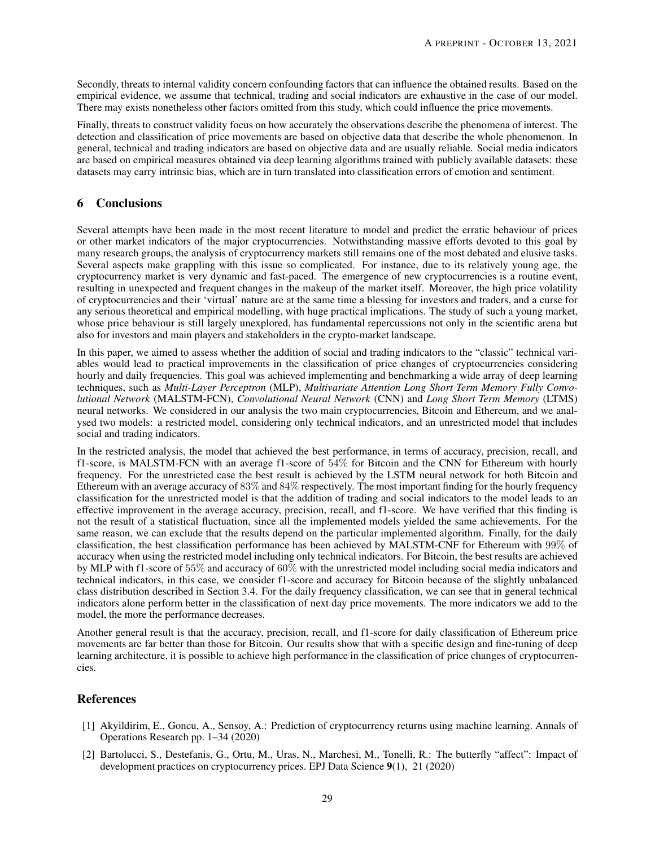Secondly, threats to internal validity concern confounding factors that can influence the obtained results. Based on the empirical evidence, we assume that technical, trading and social indicators are exhaustive in the case of our model. There may exists nonetheless other factors omitted from this study, which could influence the price movements.

Finally, threats to construct validity focus on how accurately the observations describe the phenomena of interest. The detection and classification of price movements are based on objective data that describe the whole phenomenon. In general, technical and trading indicators are based on objective data and are usually reliable. Social media indicators are based on empirical measures obtained via deep learning algorithms trained with publicly available datasets: these datasets may carry intrinsic bias, which are in turn translated into classification errors of emotion and sentiment.

# <span id="page-28-1"></span>6 Conclusions

Several attempts have been made in the most recent literature to model and predict the erratic behaviour of prices or other market indicators of the major cryptocurrencies. Notwithstanding massive efforts devoted to this goal by many research groups, the analysis of cryptocurrency markets still remains one of the most debated and elusive tasks. Several aspects make grappling with this issue so complicated. For instance, due to its relatively young age, the cryptocurrency market is very dynamic and fast-paced. The emergence of new cryptocurrencies is a routine event, resulting in unexpected and frequent changes in the makeup of the market itself. Moreover, the high price volatility of cryptocurrencies and their 'virtual' nature are at the same time a blessing for investors and traders, and a curse for any serious theoretical and empirical modelling, with huge practical implications. The study of such a young market, whose price behaviour is still largely unexplored, has fundamental repercussions not only in the scientific arena but also for investors and main players and stakeholders in the crypto-market landscape.

In this paper, we aimed to assess whether the addition of social and trading indicators to the "classic" technical variables would lead to practical improvements in the classification of price changes of cryptocurrencies considering hourly and daily frequencies. This goal was achieved implementing and benchmarking a wide array of deep learning techniques, such as *Multi-Layer Perceptron* (MLP), *Multivariate Attention Long Short Term Memory Fully Convolutional Network* (MALSTM-FCN), *Convolutional Neural Network* (CNN) and *Long Short Term Memory* (LTMS) neural networks. We considered in our analysis the two main cryptocurrencies, Bitcoin and Ethereum, and we analysed two models: a restricted model, considering only technical indicators, and an unrestricted model that includes social and trading indicators.

In the restricted analysis, the model that achieved the best performance, in terms of accuracy, precision, recall, and f1-score, is MALSTM-FCN with an average f1-score of 54% for Bitcoin and the CNN for Ethereum with hourly frequency. For the unrestricted case the best result is achieved by the LSTM neural network for both Bitcoin and Ethereum with an average accuracy of 83% and 84% respectively. The most important finding for the hourly frequency classification for the unrestricted model is that the addition of trading and social indicators to the model leads to an effective improvement in the average accuracy, precision, recall, and f1-score. We have verified that this finding is not the result of a statistical fluctuation, since all the implemented models yielded the same achievements. For the same reason, we can exclude that the results depend on the particular implemented algorithm. Finally, for the daily classification, the best classification performance has been achieved by MALSTM-CNF for Ethereum with 99% of accuracy when using the restricted model including only technical indicators. For Bitcoin, the best results are achieved by MLP with f1-score of 55% and accuracy of 60% with the unrestricted model including social media indicators and technical indicators, in this case, we consider f1-score and accuracy for Bitcoin because of the slightly unbalanced class distribution described in Section 3.4. For the daily frequency classification, we can see that in general technical indicators alone perform better in the classification of next day price movements. The more indicators we add to the model, the more the performance decreases.

Another general result is that the accuracy, precision, recall, and f1-score for daily classification of Ethereum price movements are far better than those for Bitcoin. Our results show that with a specific design and fine-tuning of deep learning architecture, it is possible to achieve high performance in the classification of price changes of cryptocurrencies.

# <span id="page-28-2"></span>References

- [1] Akyildirim, E., Goncu, A., Sensoy, A.: Prediction of cryptocurrency returns using machine learning. Annals of Operations Research pp. 1–34 (2020)
- <span id="page-28-0"></span>[2] Bartolucci, S., Destefanis, G., Ortu, M., Uras, N., Marchesi, M., Tonelli, R.: The butterfly "affect": Impact of development practices on cryptocurrency prices. EPJ Data Science 9(1), 21 (2020)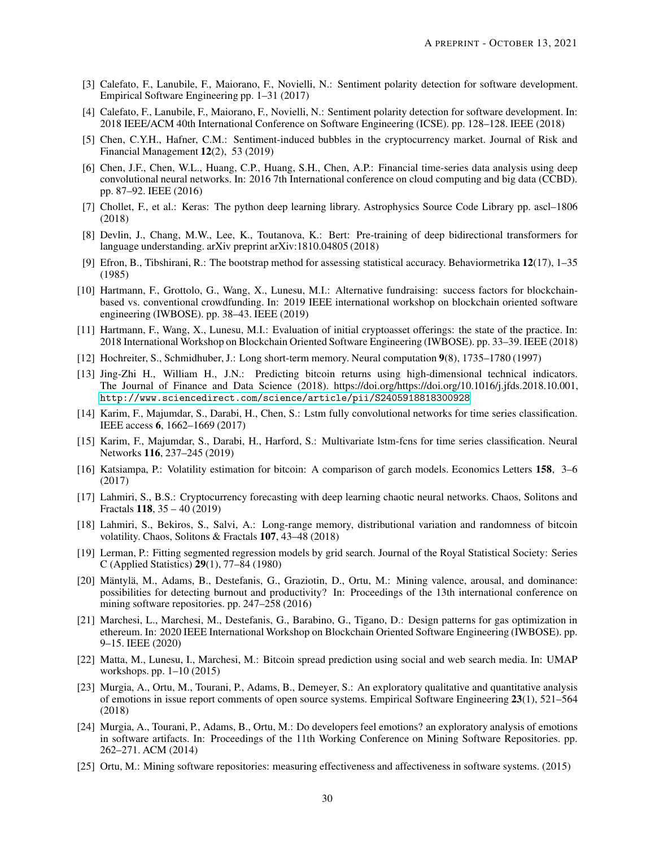- <span id="page-29-14"></span><span id="page-29-13"></span>[3] Calefato, F., Lanubile, F., Maiorano, F., Novielli, N.: Sentiment polarity detection for software development. Empirical Software Engineering pp. 1–31 (2017)
- [4] Calefato, F., Lanubile, F., Maiorano, F., Novielli, N.: Sentiment polarity detection for software development. In: 2018 IEEE/ACM 40th International Conference on Software Engineering (ICSE). pp. 128–128. IEEE (2018)
- <span id="page-29-6"></span>[5] Chen, C.Y.H., Hafner, C.M.: Sentiment-induced bubbles in the cryptocurrency market. Journal of Risk and Financial Management 12(2), 53 (2019)
- <span id="page-29-18"></span>[6] Chen, J.F., Chen, W.L., Huang, C.P., Huang, S.H., Chen, A.P.: Financial time-series data analysis using deep convolutional neural networks. In: 2016 7th International conference on cloud computing and big data (CCBD). pp. 87–92. IEEE (2016)
- <span id="page-29-16"></span>[7] Chollet, F., et al.: Keras: The python deep learning library. Astrophysics Source Code Library pp. ascl–1806 (2018)
- <span id="page-29-9"></span>[8] Devlin, J., Chang, M.W., Lee, K., Toutanova, K.: Bert: Pre-training of deep bidirectional transformers for language understanding. arXiv preprint arXiv:1810.04805 (2018)
- <span id="page-29-20"></span>[9] Efron, B., Tibshirani, R.: The bootstrap method for assessing statistical accuracy. Behaviormetrika 12(17), 1–35 (1985)
- <span id="page-29-4"></span>[10] Hartmann, F., Grottolo, G., Wang, X., Lunesu, M.I.: Alternative fundraising: success factors for blockchainbased vs. conventional crowdfunding. In: 2019 IEEE international workshop on blockchain oriented software engineering (IWBOSE). pp. 38–43. IEEE (2019)
- <span id="page-29-5"></span>[11] Hartmann, F., Wang, X., Lunesu, M.I.: Evaluation of initial cryptoasset offerings: the state of the practice. In: 2018 International Workshop on Blockchain Oriented Software Engineering (IWBOSE). pp. 33–39. IEEE (2018)
- <span id="page-29-15"></span><span id="page-29-0"></span>[12] Hochreiter, S., Schmidhuber, J.: Long short-term memory. Neural computation 9(8), 1735–1780 (1997)
- [13] Jing-Zhi H., William H., J.N.: Predicting bitcoin returns using high-dimensional technical indicators. The Journal of Finance and Data Science (2018). https://doi.org/https://doi.org/10.1016/j.jfds.2018.10.001, <http://www.sciencedirect.com/science/article/pii/S2405918818300928>
- <span id="page-29-17"></span>[14] Karim, F., Majumdar, S., Darabi, H., Chen, S.: Lstm fully convolutional networks for time series classification. IEEE access 6, 1662–1669 (2017)
- <span id="page-29-1"></span>[15] Karim, F., Majumdar, S., Darabi, H., Harford, S.: Multivariate lstm-fcns for time series classification. Neural Networks 116, 237–245 (2019)
- [16] Katsiampa, P.: Volatility estimation for bitcoin: A comparison of garch models. Economics Letters 158, 3–6 (2017)
- [17] Lahmiri, S., B.S.: Cryptocurrency forecasting with deep learning chaotic neural networks. Chaos, Solitons and Fractals 118, 35 – 40 (2019)
- <span id="page-29-2"></span>[18] Lahmiri, S., Bekiros, S., Salvi, A.: Long-range memory, distributional variation and randomness of bitcoin volatility. Chaos, Solitons & Fractals 107, 43–48 (2018)
- <span id="page-29-19"></span>[19] Lerman, P.: Fitting segmented regression models by grid search. Journal of the Royal Statistical Society: Series C (Applied Statistics) 29(1), 77–84 (1980)
- <span id="page-29-12"></span>[20] Mäntylä, M., Adams, B., Destefanis, G., Graziotin, D., Ortu, M.: Mining valence, arousal, and dominance: possibilities for detecting burnout and productivity? In: Proceedings of the 13th international conference on mining software repositories. pp. 247–258 (2016)
- <span id="page-29-7"></span>[21] Marchesi, L., Marchesi, M., Destefanis, G., Barabino, G., Tigano, D.: Design patterns for gas optimization in ethereum. In: 2020 IEEE International Workshop on Blockchain Oriented Software Engineering (IWBOSE). pp. 9–15. IEEE (2020)
- <span id="page-29-3"></span>[22] Matta, M., Lunesu, I., Marchesi, M.: Bitcoin spread prediction using social and web search media. In: UMAP workshops. pp. 1–10 (2015)
- <span id="page-29-10"></span>[23] Murgia, A., Ortu, M., Tourani, P., Adams, B., Demeyer, S.: An exploratory qualitative and quantitative analysis of emotions in issue report comments of open source systems. Empirical Software Engineering 23(1), 521–564 (2018)
- <span id="page-29-11"></span>[24] Murgia, A., Tourani, P., Adams, B., Ortu, M.: Do developers feel emotions? an exploratory analysis of emotions in software artifacts. In: Proceedings of the 11th Working Conference on Mining Software Repositories. pp. 262–271. ACM (2014)
- <span id="page-29-8"></span>[25] Ortu, M.: Mining software repositories: measuring effectiveness and affectiveness in software systems. (2015)